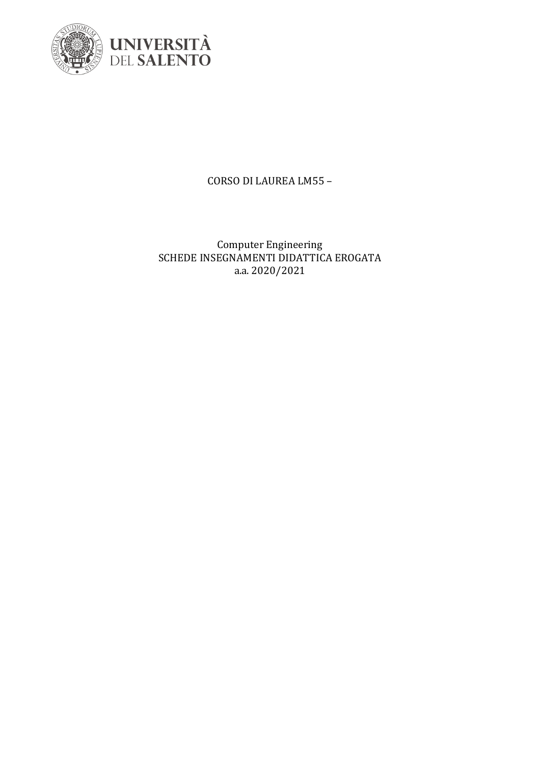

CORSO DI LAUREA LM55 -

Computer Engineering<br>SCHEDE INSEGNAMENTI DIDATTICA EROGATA a.a. 2020/2021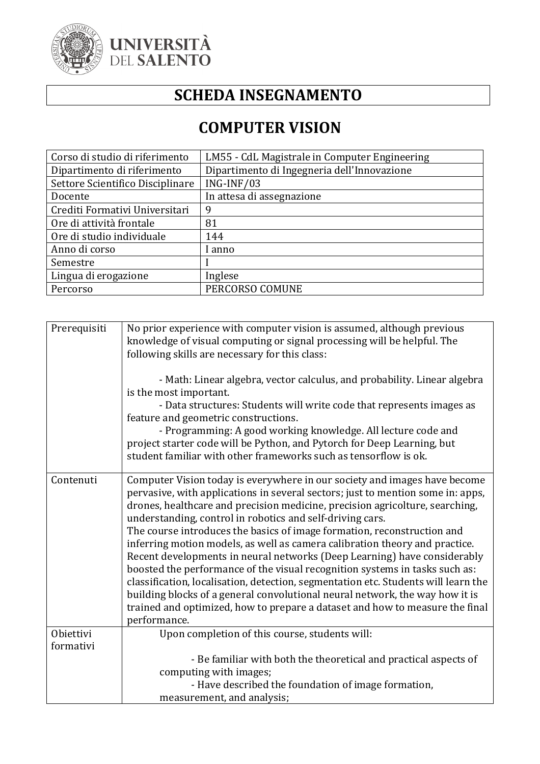

#### **SCHEDA INSEGNAMENTO**

#### **COMPUTER VISION**

| Corso di studio di riferimento   | LM55 - CdL Magistrale in Computer Engineering |
|----------------------------------|-----------------------------------------------|
| Dipartimento di riferimento      | Dipartimento di Ingegneria dell'Innovazione   |
| Settore Scientifico Disciplinare | ING-INF/03                                    |
| Docente                          | In attesa di assegnazione                     |
| Crediti Formativi Universitari   | 9                                             |
| Ore di attività frontale         | 81                                            |
| Ore di studio individuale        | 144                                           |
| Anno di corso                    | anno l                                        |
| Semestre                         |                                               |
| Lingua di erogazione             | Inglese                                       |
| Percorso                         | PERCORSO COMUNE                               |

| Prerequisiti | No prior experience with computer vision is assumed, although previous<br>knowledge of visual computing or signal processing will be helpful. The<br>following skills are necessary for this class:<br>- Math: Linear algebra, vector calculus, and probability. Linear algebra<br>is the most important.<br>- Data structures: Students will write code that represents images as<br>feature and geometric constructions.<br>- Programming: A good working knowledge. All lecture code and<br>project starter code will be Python, and Pytorch for Deep Learning, but<br>student familiar with other frameworks such as tensorflow is ok.                                                                                                                                                                                                                                                           |
|--------------|------------------------------------------------------------------------------------------------------------------------------------------------------------------------------------------------------------------------------------------------------------------------------------------------------------------------------------------------------------------------------------------------------------------------------------------------------------------------------------------------------------------------------------------------------------------------------------------------------------------------------------------------------------------------------------------------------------------------------------------------------------------------------------------------------------------------------------------------------------------------------------------------------|
| Contenuti    | Computer Vision today is everywhere in our society and images have become<br>pervasive, with applications in several sectors; just to mention some in: apps,<br>drones, healthcare and precision medicine, precision agricolture, searching,<br>understanding, control in robotics and self-driving cars.<br>The course introduces the basics of image formation, reconstruction and<br>inferring motion models, as well as camera calibration theory and practice.<br>Recent developments in neural networks (Deep Learning) have considerably<br>boosted the performance of the visual recognition systems in tasks such as:<br>classification, localisation, detection, segmentation etc. Students will learn the<br>building blocks of a general convolutional neural network, the way how it is<br>trained and optimized, how to prepare a dataset and how to measure the final<br>performance. |
| Obiettivi    | Upon completion of this course, students will:                                                                                                                                                                                                                                                                                                                                                                                                                                                                                                                                                                                                                                                                                                                                                                                                                                                       |
| formativi    |                                                                                                                                                                                                                                                                                                                                                                                                                                                                                                                                                                                                                                                                                                                                                                                                                                                                                                      |
|              | - Be familiar with both the theoretical and practical aspects of                                                                                                                                                                                                                                                                                                                                                                                                                                                                                                                                                                                                                                                                                                                                                                                                                                     |
|              | computing with images;                                                                                                                                                                                                                                                                                                                                                                                                                                                                                                                                                                                                                                                                                                                                                                                                                                                                               |
|              | - Have described the foundation of image formation,                                                                                                                                                                                                                                                                                                                                                                                                                                                                                                                                                                                                                                                                                                                                                                                                                                                  |
|              | measurement, and analysis;                                                                                                                                                                                                                                                                                                                                                                                                                                                                                                                                                                                                                                                                                                                                                                                                                                                                           |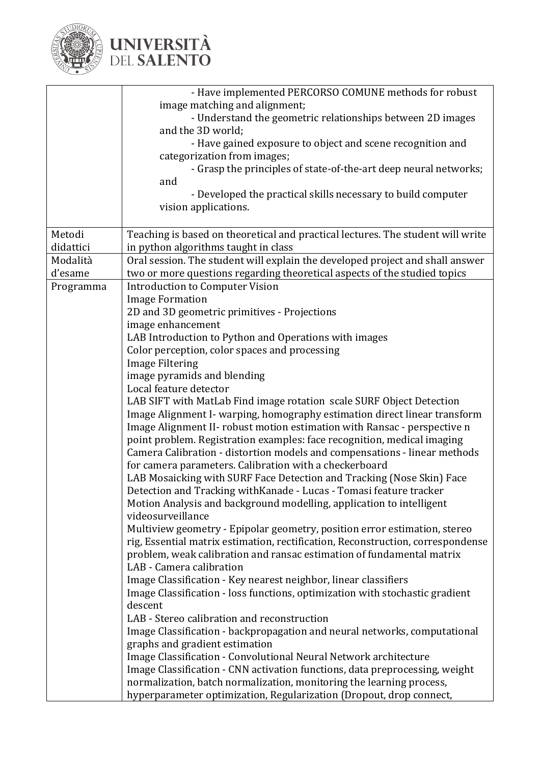

|           | - Have implemented PERCORSO COMUNE methods for robust                                                                                               |  |
|-----------|-----------------------------------------------------------------------------------------------------------------------------------------------------|--|
|           | image matching and alignment;                                                                                                                       |  |
|           | - Understand the geometric relationships between 2D images                                                                                          |  |
|           | and the 3D world;                                                                                                                                   |  |
|           | - Have gained exposure to object and scene recognition and                                                                                          |  |
|           | categorization from images;                                                                                                                         |  |
|           | - Grasp the principles of state-of-the-art deep neural networks;                                                                                    |  |
|           | and                                                                                                                                                 |  |
|           | - Developed the practical skills necessary to build computer                                                                                        |  |
|           | vision applications.                                                                                                                                |  |
|           |                                                                                                                                                     |  |
| Metodi    | Teaching is based on theoretical and practical lectures. The student will write                                                                     |  |
| didattici | in python algorithms taught in class                                                                                                                |  |
| Modalità  | Oral session. The student will explain the developed project and shall answer                                                                       |  |
| d'esame   | two or more questions regarding theoretical aspects of the studied topics                                                                           |  |
| Programma | <b>Introduction to Computer Vision</b>                                                                                                              |  |
|           | <b>Image Formation</b>                                                                                                                              |  |
|           | 2D and 3D geometric primitives - Projections                                                                                                        |  |
|           | image enhancement                                                                                                                                   |  |
|           | LAB Introduction to Python and Operations with images                                                                                               |  |
|           | Color perception, color spaces and processing                                                                                                       |  |
|           | <b>Image Filtering</b>                                                                                                                              |  |
|           | image pyramids and blending                                                                                                                         |  |
|           | Local feature detector                                                                                                                              |  |
|           | LAB SIFT with MatLab Find image rotation scale SURF Object Detection<br>Image Alignment I- warping, homography estimation direct linear transform   |  |
|           |                                                                                                                                                     |  |
|           | Image Alignment II- robust motion estimation with Ransac - perspective n<br>point problem. Registration examples: face recognition, medical imaging |  |
|           | Camera Calibration - distortion models and compensations - linear methods                                                                           |  |
|           | for camera parameters. Calibration with a checkerboard                                                                                              |  |
|           | LAB Mosaicking with SURF Face Detection and Tracking (Nose Skin) Face                                                                               |  |
|           | Detection and Tracking with Kanade - Lucas - Tomasi feature tracker                                                                                 |  |
|           | Motion Analysis and background modelling, application to intelligent                                                                                |  |
|           | videosurveillance                                                                                                                                   |  |
|           | Multiview geometry - Epipolar geometry, position error estimation, stereo                                                                           |  |
|           | rig, Essential matrix estimation, rectification, Reconstruction, correspondense                                                                     |  |
|           | problem, weak calibration and ransac estimation of fundamental matrix                                                                               |  |
|           | LAB - Camera calibration                                                                                                                            |  |
|           | Image Classification - Key nearest neighbor, linear classifiers                                                                                     |  |
|           | Image Classification - loss functions, optimization with stochastic gradient                                                                        |  |
|           | descent                                                                                                                                             |  |
|           | LAB - Stereo calibration and reconstruction                                                                                                         |  |
|           | Image Classification - backpropagation and neural networks, computational                                                                           |  |
|           | graphs and gradient estimation                                                                                                                      |  |
|           | Image Classification - Convolutional Neural Network architecture                                                                                    |  |
|           | Image Classification - CNN activation functions, data preprocessing, weight                                                                         |  |
|           | normalization, batch normalization, monitoring the learning process,                                                                                |  |
|           | hyperparameter optimization, Regularization (Dropout, drop connect,                                                                                 |  |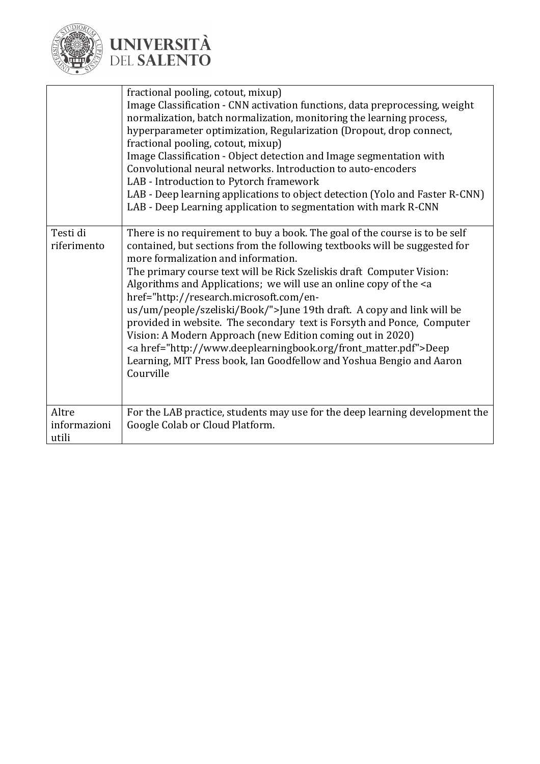

|                                | fractional pooling, cotout, mixup)<br>Image Classification - CNN activation functions, data preprocessing, weight<br>normalization, batch normalization, monitoring the learning process,<br>hyperparameter optimization, Regularization (Dropout, drop connect,<br>fractional pooling, cotout, mixup)<br>Image Classification - Object detection and Image segmentation with<br>Convolutional neural networks. Introduction to auto-encoders<br>LAB - Introduction to Pytorch framework<br>LAB - Deep learning applications to object detection (Yolo and Faster R-CNN)<br>LAB - Deep Learning application to segmentation with mark R-CNN                                                                                                                                            |
|--------------------------------|----------------------------------------------------------------------------------------------------------------------------------------------------------------------------------------------------------------------------------------------------------------------------------------------------------------------------------------------------------------------------------------------------------------------------------------------------------------------------------------------------------------------------------------------------------------------------------------------------------------------------------------------------------------------------------------------------------------------------------------------------------------------------------------|
| Testi di<br>riferimento        | There is no requirement to buy a book. The goal of the course is to be self<br>contained, but sections from the following textbooks will be suggested for<br>more formalization and information.<br>The primary course text will be Rick Szeliskis draft Computer Vision:<br>Algorithms and Applications; we will use an online copy of the <a<br>href="http://research.microsoft.com/en-<br/>us/um/people/szeliski/Book/"&gt;June 19th draft. A copy and link will be<br/>provided in website. The secondary text is Forsyth and Ponce, Computer<br/>Vision: A Modern Approach (new Edition coming out in 2020)<br/><a href="http://www.deeplearningbook.org/front_matter.pdf">Deep<br/>Learning, MIT Press book, Ian Goodfellow and Yoshua Bengio and Aaron<br/>Courville</a></a<br> |
| Altre<br>informazioni<br>utili | For the LAB practice, students may use for the deep learning development the<br>Google Colab or Cloud Platform.                                                                                                                                                                                                                                                                                                                                                                                                                                                                                                                                                                                                                                                                        |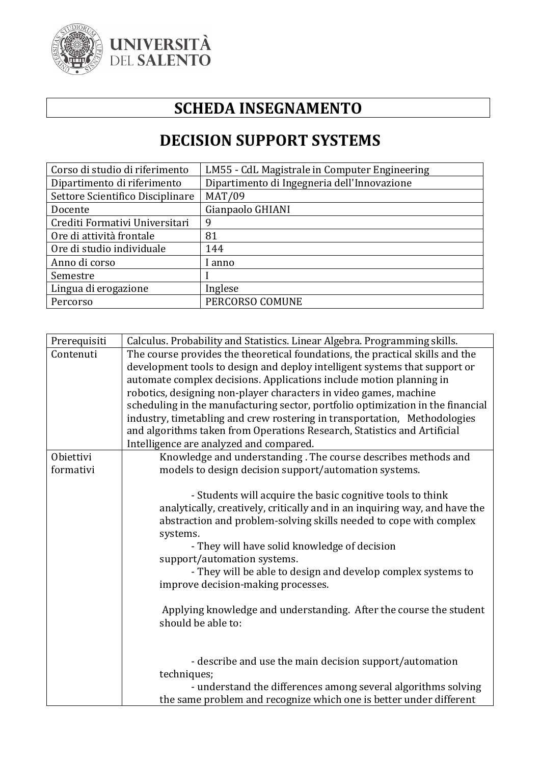

### **SCHEDA INSEGNAMENTO**

#### **DECISION SUPPORT SYSTEMS**

| Corso di studio di riferimento   | LM55 - CdL Magistrale in Computer Engineering |
|----------------------------------|-----------------------------------------------|
| Dipartimento di riferimento      | Dipartimento di Ingegneria dell'Innovazione   |
| Settore Scientifico Disciplinare | <b>MAT/09</b>                                 |
| Docente                          | Gianpaolo GHIANI                              |
| Crediti Formativi Universitari   | 9                                             |
| Ore di attività frontale         | 81                                            |
| Ore di studio individuale        | 144                                           |
| Anno di corso                    | anno                                          |
| Semestre                         |                                               |
| Lingua di erogazione             | Inglese                                       |
| Percorso                         | PERCORSO COMUNE                               |

| Prerequisiti | Calculus. Probability and Statistics. Linear Algebra. Programming skills.       |
|--------------|---------------------------------------------------------------------------------|
| Contenuti    | The course provides the theoretical foundations, the practical skills and the   |
|              | development tools to design and deploy intelligent systems that support or      |
|              | automate complex decisions. Applications include motion planning in             |
|              | robotics, designing non-player characters in video games, machine               |
|              | scheduling in the manufacturing sector, portfolio optimization in the financial |
|              | industry, timetabling and crew rostering in transportation, Methodologies       |
|              | and algorithms taken from Operations Research, Statistics and Artificial        |
|              | Intelligence are analyzed and compared.                                         |
| Obiettivi    | Knowledge and understanding. The course describes methods and                   |
| formativi    | models to design decision support/automation systems.                           |
|              |                                                                                 |
|              | - Students will acquire the basic cognitive tools to think                      |
|              | analytically, creatively, critically and in an inquiring way, and have the      |
|              | abstraction and problem-solving skills needed to cope with complex              |
|              | systems.                                                                        |
|              | - They will have solid knowledge of decision                                    |
|              | support/automation systems.                                                     |
|              | - They will be able to design and develop complex systems to                    |
|              | improve decision-making processes.                                              |
|              |                                                                                 |
|              | Applying knowledge and understanding. After the course the student              |
|              | should be able to:                                                              |
|              |                                                                                 |
|              |                                                                                 |
|              | - describe and use the main decision support/automation                         |
|              | techniques;                                                                     |
|              | - understand the differences among several algorithms solving                   |
|              | the same problem and recognize which one is better under different              |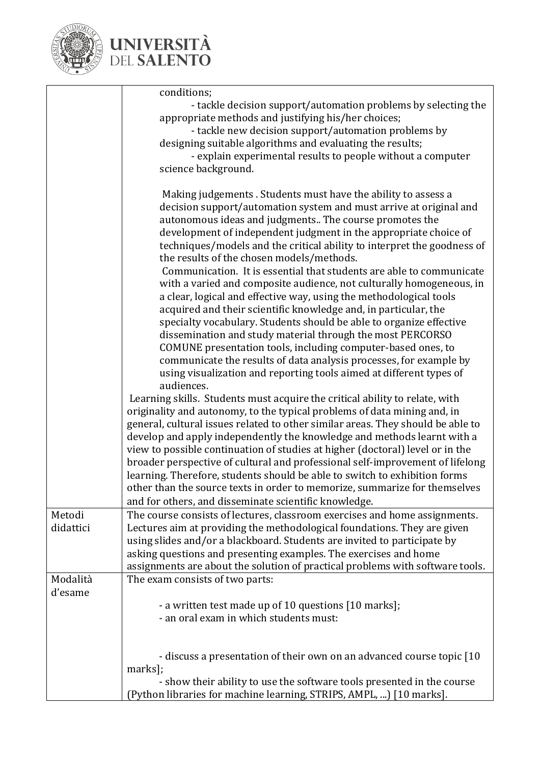

|                     | conditions;<br>- tackle decision support/automation problems by selecting the<br>appropriate methods and justifying his/her choices;<br>- tackle new decision support/automation problems by<br>designing suitable algorithms and evaluating the results;<br>- explain experimental results to people without a computer<br>science background.                                                                                                                                                                                                                                                                                                                                                                                                                                                                                                                                                                                                               |
|---------------------|---------------------------------------------------------------------------------------------------------------------------------------------------------------------------------------------------------------------------------------------------------------------------------------------------------------------------------------------------------------------------------------------------------------------------------------------------------------------------------------------------------------------------------------------------------------------------------------------------------------------------------------------------------------------------------------------------------------------------------------------------------------------------------------------------------------------------------------------------------------------------------------------------------------------------------------------------------------|
|                     | Making judgements. Students must have the ability to assess a<br>decision support/automation system and must arrive at original and<br>autonomous ideas and judgments The course promotes the<br>development of independent judgment in the appropriate choice of<br>techniques/models and the critical ability to interpret the goodness of<br>the results of the chosen models/methods.<br>Communication. It is essential that students are able to communicate<br>with a varied and composite audience, not culturally homogeneous, in<br>a clear, logical and effective way, using the methodological tools<br>acquired and their scientific knowledge and, in particular, the<br>specialty vocabulary. Students should be able to organize effective<br>dissemination and study material through the most PERCORSO<br>COMUNE presentation tools, including computer-based ones, to<br>communicate the results of data analysis processes, for example by |
|                     | using visualization and reporting tools aimed at different types of<br>audiences.<br>Learning skills. Students must acquire the critical ability to relate, with<br>originality and autonomy, to the typical problems of data mining and, in<br>general, cultural issues related to other similar areas. They should be able to<br>develop and apply independently the knowledge and methods learnt with a<br>view to possible continuation of studies at higher (doctoral) level or in the<br>broader perspective of cultural and professional self-improvement of lifelong<br>learning. Therefore, students should be able to switch to exhibition forms<br>other than the source texts in order to memorize, summarize for themselves                                                                                                                                                                                                                      |
| Metodi<br>didattici | and for others, and disseminate scientific knowledge.<br>The course consists of lectures, classroom exercises and home assignments.<br>Lectures aim at providing the methodological foundations. They are given<br>using slides and/or a blackboard. Students are invited to participate by<br>asking questions and presenting examples. The exercises and home<br>assignments are about the solution of practical problems with software tools.                                                                                                                                                                                                                                                                                                                                                                                                                                                                                                              |
| Modalità<br>d'esame | The exam consists of two parts:<br>- a written test made up of 10 questions [10 marks];<br>- an oral exam in which students must:                                                                                                                                                                                                                                                                                                                                                                                                                                                                                                                                                                                                                                                                                                                                                                                                                             |
|                     | - discuss a presentation of their own on an advanced course topic [10<br>marks];<br>- show their ability to use the software tools presented in the course<br>(Python libraries for machine learning, STRIPS, AMPL, ) [10 marks].                                                                                                                                                                                                                                                                                                                                                                                                                                                                                                                                                                                                                                                                                                                             |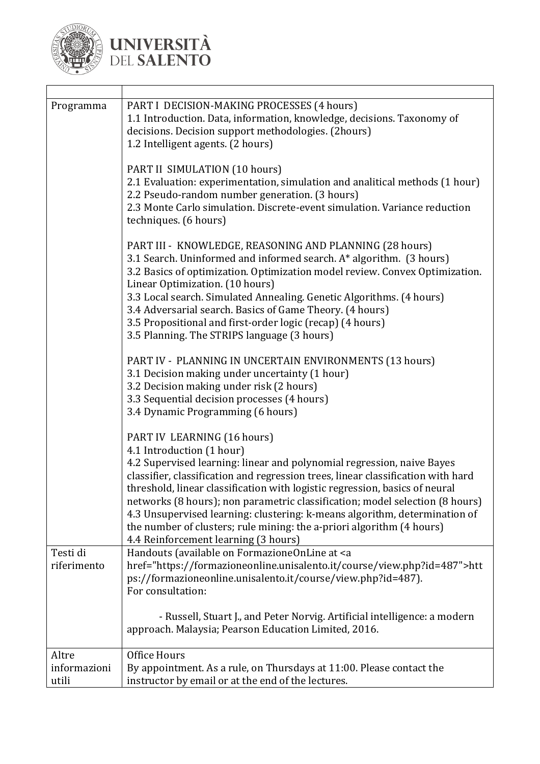

| Programma                      | PART I DECISION-MAKING PROCESSES (4 hours)<br>1.1 Introduction. Data, information, knowledge, decisions. Taxonomy of<br>decisions. Decision support methodologies. (2hours)<br>1.2 Intelligent agents. (2 hours)                                                                                                                                                                                                                                                                                                                                                                     |
|--------------------------------|--------------------------------------------------------------------------------------------------------------------------------------------------------------------------------------------------------------------------------------------------------------------------------------------------------------------------------------------------------------------------------------------------------------------------------------------------------------------------------------------------------------------------------------------------------------------------------------|
|                                | PART II SIMULATION (10 hours)<br>2.1 Evaluation: experimentation, simulation and analitical methods (1 hour)<br>2.2 Pseudo-random number generation. (3 hours)<br>2.3 Monte Carlo simulation. Discrete-event simulation. Variance reduction<br>techniques. (6 hours)                                                                                                                                                                                                                                                                                                                 |
|                                | PART III - KNOWLEDGE, REASONING AND PLANNING (28 hours)<br>3.1 Search. Uninformed and informed search. A* algorithm. (3 hours)<br>3.2 Basics of optimization. Optimization model review. Convex Optimization.<br>Linear Optimization. (10 hours)<br>3.3 Local search. Simulated Annealing. Genetic Algorithms. (4 hours)<br>3.4 Adversarial search. Basics of Game Theory. (4 hours)<br>3.5 Propositional and first-order logic (recap) (4 hours)<br>3.5 Planning. The STRIPS language (3 hours)                                                                                     |
|                                | PART IV - PLANNING IN UNCERTAIN ENVIRONMENTS (13 hours)<br>3.1 Decision making under uncertainty (1 hour)<br>3.2 Decision making under risk (2 hours)<br>3.3 Sequential decision processes (4 hours)<br>3.4 Dynamic Programming (6 hours)                                                                                                                                                                                                                                                                                                                                            |
|                                | PART IV LEARNING (16 hours)<br>4.1 Introduction (1 hour)<br>4.2 Supervised learning: linear and polynomial regression, naive Bayes<br>classifier, classification and regression trees, linear classification with hard<br>threshold, linear classification with logistic regression, basics of neural<br>networks (8 hours); non parametric classification; model selection (8 hours)<br>4.3 Unsupervised learning: clustering: k-means algorithm, determination of<br>the number of clusters; rule mining: the a-priori algorithm (4 hours)<br>4.4 Reinforcement learning (3 hours) |
| Testi di<br>riferimento        | Handouts (available on FormazioneOnLine at <a<br>href="https://formazioneonline.unisalento.it/course/view.php?id=487"&gt;htt<br/>ps://formazioneonline.unisalento.it/course/view.php?id=487).<br/>For consultation:</a<br>                                                                                                                                                                                                                                                                                                                                                           |
|                                | - Russell, Stuart J., and Peter Norvig. Artificial intelligence: a modern<br>approach. Malaysia; Pearson Education Limited, 2016.                                                                                                                                                                                                                                                                                                                                                                                                                                                    |
| Altre<br>informazioni<br>utili | Office Hours<br>By appointment. As a rule, on Thursdays at 11:00. Please contact the<br>instructor by email or at the end of the lectures.                                                                                                                                                                                                                                                                                                                                                                                                                                           |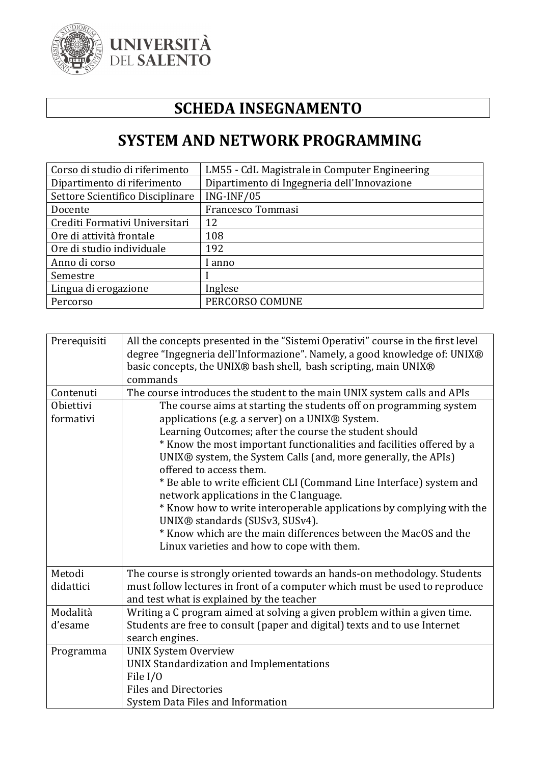

### **SCHEDA INSEGNAMENTO**

#### **SYSTEM AND NETWORK PROGRAMMING**

| Corso di studio di riferimento   | LM55 - CdL Magistrale in Computer Engineering |
|----------------------------------|-----------------------------------------------|
| Dipartimento di riferimento      | Dipartimento di Ingegneria dell'Innovazione   |
| Settore Scientifico Disciplinare | ING-INF/05                                    |
| Docente                          | Francesco Tommasi                             |
| Crediti Formativi Universitari   | 12                                            |
| Ore di attività frontale         | 108                                           |
| Ore di studio individuale        | 192                                           |
| Anno di corso                    | anno                                          |
| Semestre                         |                                               |
| Lingua di erogazione             | Inglese                                       |
| Percorso                         | PERCORSO COMUNE                               |

| Prerequisiti | All the concepts presented in the "Sistemi Operativi" course in the first level<br>degree "Ingegneria dell'Informazione". Namely, a good knowledge of: UNIX®<br>basic concepts, the UNIX® bash shell, bash scripting, main UNIX®<br>commands |
|--------------|----------------------------------------------------------------------------------------------------------------------------------------------------------------------------------------------------------------------------------------------|
| Contenuti    | The course introduces the student to the main UNIX system calls and APIs                                                                                                                                                                     |
| Obiettivi    | The course aims at starting the students off on programming system                                                                                                                                                                           |
| formativi    | applications (e.g. a server) on a UNIX® System.                                                                                                                                                                                              |
|              | Learning Outcomes; after the course the student should                                                                                                                                                                                       |
|              | * Know the most important functionalities and facilities offered by a                                                                                                                                                                        |
|              | UNIX® system, the System Calls (and, more generally, the APIs)<br>offered to access them.                                                                                                                                                    |
|              | * Be able to write efficient CLI (Command Line Interface) system and                                                                                                                                                                         |
|              | network applications in the C language.                                                                                                                                                                                                      |
|              | * Know how to write interoperable applications by complying with the                                                                                                                                                                         |
|              | UNIX® standards (SUSv3, SUSv4).                                                                                                                                                                                                              |
|              | * Know which are the main differences between the MacOS and the                                                                                                                                                                              |
|              | Linux varieties and how to cope with them.                                                                                                                                                                                                   |
|              |                                                                                                                                                                                                                                              |
| Metodi       | The course is strongly oriented towards an hands-on methodology. Students                                                                                                                                                                    |
| didattici    | must follow lectures in front of a computer which must be used to reproduce                                                                                                                                                                  |
|              | and test what is explained by the teacher                                                                                                                                                                                                    |
| Modalità     | Writing a C program aimed at solving a given problem within a given time.                                                                                                                                                                    |
| d'esame      | Students are free to consult (paper and digital) texts and to use Internet                                                                                                                                                                   |
|              | search engines.                                                                                                                                                                                                                              |
| Programma    | <b>UNIX System Overview</b>                                                                                                                                                                                                                  |
|              | <b>UNIX Standardization and Implementations</b>                                                                                                                                                                                              |
|              | File I/O                                                                                                                                                                                                                                     |
|              | <b>Files and Directories</b>                                                                                                                                                                                                                 |
|              | System Data Files and Information                                                                                                                                                                                                            |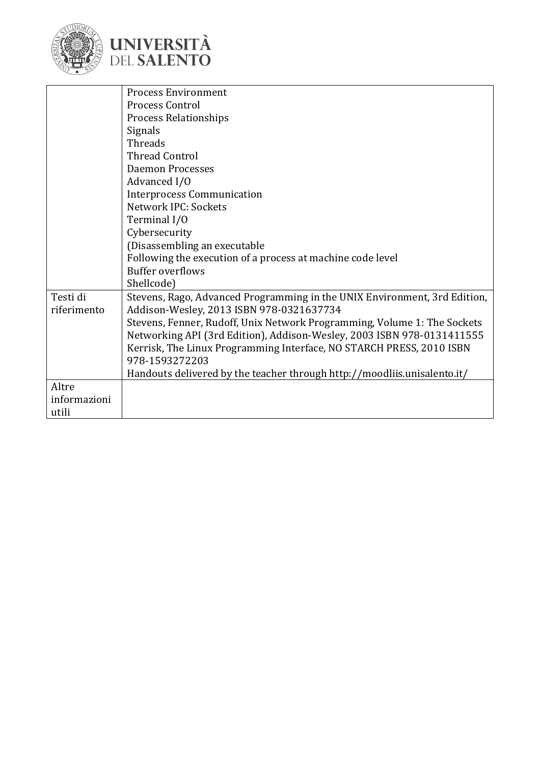



|                         | <b>Process Environment</b>                                                                                            |
|-------------------------|-----------------------------------------------------------------------------------------------------------------------|
|                         | Process Control                                                                                                       |
|                         | <b>Process Relationships</b>                                                                                          |
|                         | Signals                                                                                                               |
|                         | Threads                                                                                                               |
|                         | <b>Thread Control</b>                                                                                                 |
|                         | <b>Daemon Processes</b>                                                                                               |
|                         | Advanced I/O                                                                                                          |
|                         | <b>Interprocess Communication</b>                                                                                     |
|                         | Network IPC: Sockets                                                                                                  |
|                         | Terminal I/O                                                                                                          |
|                         | Cybersecurity                                                                                                         |
|                         | (Disassembling an executable                                                                                          |
|                         | Following the execution of a process at machine code level                                                            |
|                         | <b>Buffer overflows</b>                                                                                               |
|                         | Shellcode)                                                                                                            |
| Testi di<br>riferimento | Stevens, Rago, Advanced Programming in the UNIX Environment, 3rd Edition,<br>Addison-Wesley, 2013 ISBN 978-0321637734 |
|                         | Stevens, Fenner, Rudoff, Unix Network Programming, Volume 1: The Sockets                                              |
|                         | Networking API (3rd Edition), Addison-Wesley, 2003 ISBN 978-0131411555                                                |
|                         | Kerrisk, The Linux Programming Interface, NO STARCH PRESS, 2010 ISBN                                                  |
|                         | 978-1593272203                                                                                                        |
|                         | Handouts delivered by the teacher through http://moodliis.unisalento.it/                                              |
| Altre                   |                                                                                                                       |
| informazioni            |                                                                                                                       |
| utili                   |                                                                                                                       |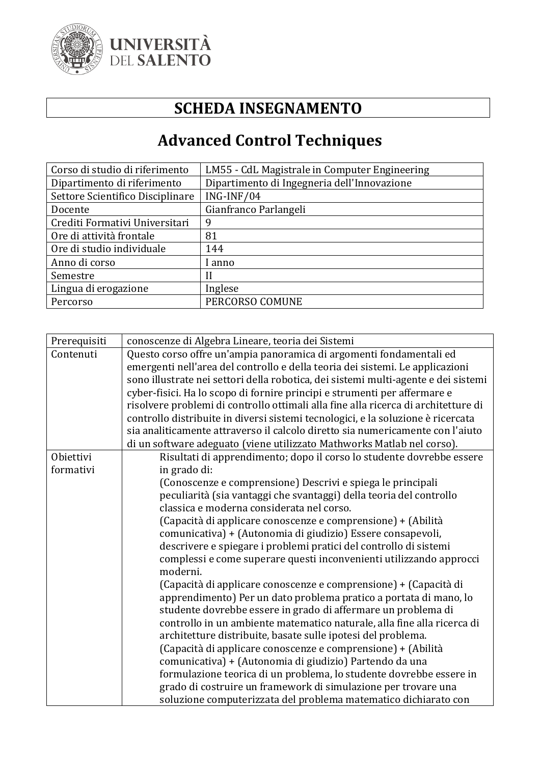

#### **SCHEDA INSEGNAMENTO**

## **Advanced Control Techniques**

| Corso di studio di riferimento   | LM55 - CdL Magistrale in Computer Engineering |
|----------------------------------|-----------------------------------------------|
| Dipartimento di riferimento      | Dipartimento di Ingegneria dell'Innovazione   |
| Settore Scientifico Disciplinare | $ING-INF/04$                                  |
| Docente                          | Gianfranco Parlangeli                         |
| Crediti Formativi Universitari   | 9                                             |
| Ore di attività frontale         | 81                                            |
| Ore di studio individuale        | 144                                           |
| Anno di corso                    | anno                                          |
| Semestre                         | Н                                             |
| Lingua di erogazione             | Inglese                                       |
| Percorso                         | PERCORSO COMUNE                               |

| Prerequisiti | conoscenze di Algebra Lineare, teoria dei Sistemi                                  |
|--------------|------------------------------------------------------------------------------------|
| Contenuti    | Questo corso offre un'ampia panoramica di argomenti fondamentali ed                |
|              | emergenti nell'area del controllo e della teoria dei sistemi. Le applicazioni      |
|              | sono illustrate nei settori della robotica, dei sistemi multi-agente e dei sistemi |
|              | cyber-fisici. Ha lo scopo di fornire principi e strumenti per affermare e          |
|              | risolvere problemi di controllo ottimali alla fine alla ricerca di architetture di |
|              | controllo distribuite in diversi sistemi tecnologici, e la soluzione è ricercata   |
|              | sia analiticamente attraverso il calcolo diretto sia numericamente con l'aiuto     |
|              | di un software adeguato (viene utilizzato Mathworks Matlab nel corso).             |
| Obiettivi    | Risultati di apprendimento; dopo il corso lo studente dovrebbe essere              |
| formativi    | in grado di:                                                                       |
|              | (Conoscenze e comprensione) Descrivi e spiega le principali                        |
|              | peculiarità (sia vantaggi che svantaggi) della teoria del controllo                |
|              | classica e moderna considerata nel corso.                                          |
|              | (Capacità di applicare conoscenze e comprensione) + (Abilità                       |
|              | comunicativa) + (Autonomia di giudizio) Essere consapevoli,                        |
|              | descrivere e spiegare i problemi pratici del controllo di sistemi                  |
|              | complessi e come superare questi inconvenienti utilizzando approcci<br>moderni.    |
|              | (Capacità di applicare conoscenze e comprensione) + (Capacità di                   |
|              | apprendimento) Per un dato problema pratico a portata di mano, lo                  |
|              | studente dovrebbe essere in grado di affermare un problema di                      |
|              | controllo in un ambiente matematico naturale, alla fine alla ricerca di            |
|              | architetture distribuite, basate sulle ipotesi del problema.                       |
|              | (Capacità di applicare conoscenze e comprensione) + (Abilità                       |
|              | comunicativa) + (Autonomia di giudizio) Partendo da una                            |
|              | formulazione teorica di un problema, lo studente dovrebbe essere in                |
|              | grado di costruire un framework di simulazione per trovare una                     |
|              | soluzione computerizzata del problema matematico dichiarato con                    |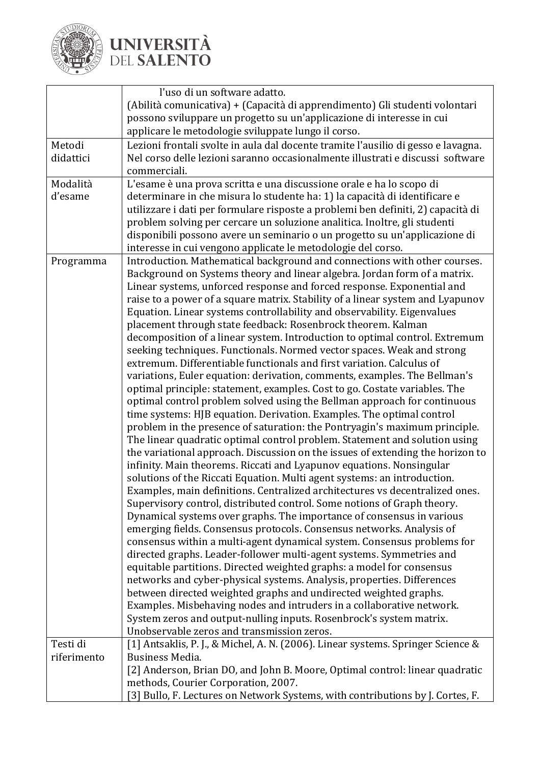

|             | l'uso di un software adatto.                                                      |
|-------------|-----------------------------------------------------------------------------------|
|             | (Abilità comunicativa) + (Capacità di apprendimento) Gli studenti volontari       |
|             | possono sviluppare un progetto su un'applicazione di interesse in cui             |
|             | applicare le metodologie sviluppate lungo il corso.                               |
| Metodi      | Lezioni frontali svolte in aula dal docente tramite l'ausilio di gesso e lavagna. |
| didattici   | Nel corso delle lezioni saranno occasionalmente illustrati e discussi software    |
|             | commerciali.                                                                      |
| Modalità    | L'esame è una prova scritta e una discussione orale e ha lo scopo di              |
| d'esame     | determinare in che misura lo studente ha: 1) la capacità di identificare e        |
|             | utilizzare i dati per formulare risposte a problemi ben definiti, 2) capacità di  |
|             | problem solving per cercare un soluzione analitica. Inoltre, gli studenti         |
|             | disponibili possono avere un seminario o un progetto su un'applicazione di        |
|             | interesse in cui vengono applicate le metodologie del corso.                      |
| Programma   | Introduction. Mathematical background and connections with other courses.         |
|             | Background on Systems theory and linear algebra. Jordan form of a matrix.         |
|             | Linear systems, unforced response and forced response. Exponential and            |
|             | raise to a power of a square matrix. Stability of a linear system and Lyapunov    |
|             | Equation. Linear systems controllability and observability. Eigenvalues           |
|             | placement through state feedback: Rosenbrock theorem. Kalman                      |
|             | decomposition of a linear system. Introduction to optimal control. Extremum       |
|             | seeking techniques. Functionals. Normed vector spaces. Weak and strong            |
|             | extremum. Differentiable functionals and first variation. Calculus of             |
|             | variations, Euler equation: derivation, comments, examples. The Bellman's         |
|             | optimal principle: statement, examples. Cost to go. Costate variables. The        |
|             | optimal control problem solved using the Bellman approach for continuous          |
|             | time systems: HJB equation. Derivation. Examples. The optimal control             |
|             | problem in the presence of saturation: the Pontryagin's maximum principle.        |
|             | The linear quadratic optimal control problem. Statement and solution using        |
|             | the variational approach. Discussion on the issues of extending the horizon to    |
|             | infinity. Main theorems. Riccati and Lyapunov equations. Nonsingular              |
|             | solutions of the Riccati Equation. Multi agent systems: an introduction.          |
|             | Examples, main definitions. Centralized architectures vs decentralized ones.      |
|             | Supervisory control, distributed control. Some notions of Graph theory.           |
|             | Dynamical systems over graphs. The importance of consensus in various             |
|             | emerging fields. Consensus protocols. Consensus networks. Analysis of             |
|             | consensus within a multi-agent dynamical system. Consensus problems for           |
|             | directed graphs. Leader-follower multi-agent systems. Symmetries and              |
|             | equitable partitions. Directed weighted graphs: a model for consensus             |
|             | networks and cyber-physical systems. Analysis, properties. Differences            |
|             | between directed weighted graphs and undirected weighted graphs.                  |
|             | Examples. Misbehaving nodes and intruders in a collaborative network.             |
|             | System zeros and output-nulling inputs. Rosenbrock's system matrix.               |
|             | Unobservable zeros and transmission zeros.                                        |
| Testi di    | [1] Antsaklis, P. J., & Michel, A. N. (2006). Linear systems. Springer Science &  |
| riferimento | Business Media.                                                                   |
|             | [2] Anderson, Brian DO, and John B. Moore, Optimal control: linear quadratic      |
|             | methods, Courier Corporation, 2007.                                               |
|             | [3] Bullo, F. Lectures on Network Systems, with contributions by J. Cortes, F.    |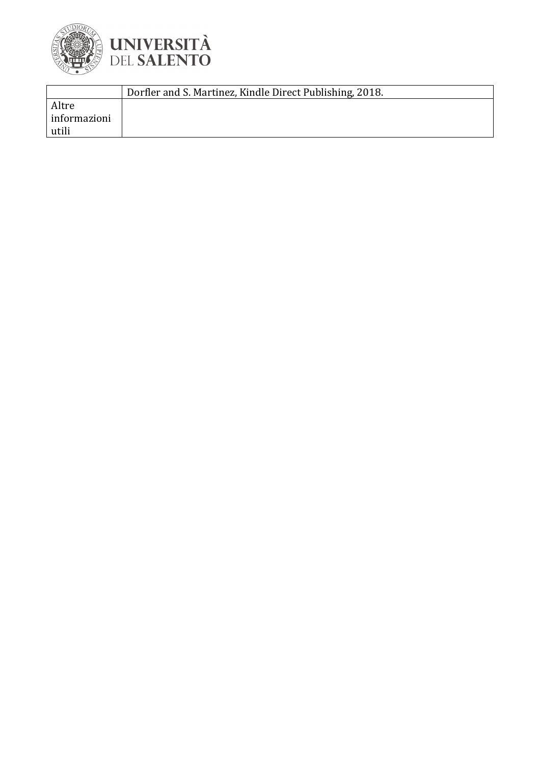

|              | Dorfler and S. Martinez, Kindle Direct Publishing, 2018. |
|--------------|----------------------------------------------------------|
| Altre        |                                                          |
| informazioni |                                                          |
| utili        |                                                          |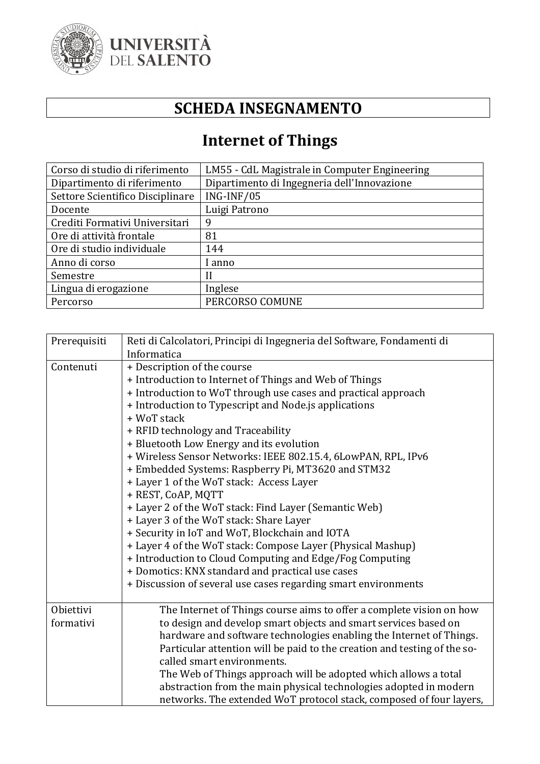

### **SCHEDA INSEGNAMENTO**

## **Internet of Things**

| Corso di studio di riferimento   | LM55 - CdL Magistrale in Computer Engineering |
|----------------------------------|-----------------------------------------------|
| Dipartimento di riferimento      | Dipartimento di Ingegneria dell'Innovazione   |
| Settore Scientifico Disciplinare | ING-INF/05                                    |
| Docente                          | Luigi Patrono                                 |
| Crediti Formativi Universitari   | 9                                             |
| Ore di attività frontale         | 81                                            |
| Ore di studio individuale        | 144                                           |
| Anno di corso                    | anno                                          |
| Semestre                         | H                                             |
| Lingua di erogazione             | Inglese                                       |
| Percorso                         | PERCORSO COMUNE                               |

| Reti di Calcolatori, Principi di Ingegneria del Software, Fondamenti di  |
|--------------------------------------------------------------------------|
| Informatica                                                              |
| + Description of the course                                              |
| + Introduction to Internet of Things and Web of Things                   |
| + Introduction to WoT through use cases and practical approach           |
| + Introduction to Typescript and Node.js applications                    |
| + WoT stack                                                              |
| + RFID technology and Traceability                                       |
| + Bluetooth Low Energy and its evolution                                 |
| + Wireless Sensor Networks: IEEE 802.15.4, 6LowPAN, RPL, IPv6            |
| + Embedded Systems: Raspberry Pi, MT3620 and STM32                       |
| + Layer 1 of the WoT stack: Access Layer                                 |
| + REST, CoAP, MQTT                                                       |
| + Layer 2 of the WoT stack: Find Layer (Semantic Web)                    |
| + Layer 3 of the WoT stack: Share Layer                                  |
| + Security in IoT and WoT, Blockchain and IOTA                           |
| + Layer 4 of the WoT stack: Compose Layer (Physical Mashup)              |
| + Introduction to Cloud Computing and Edge/Fog Computing                 |
| + Domotics: KNX standard and practical use cases                         |
| + Discussion of several use cases regarding smart environments           |
| The Internet of Things course aims to offer a complete vision on how     |
| to design and develop smart objects and smart services based on          |
| hardware and software technologies enabling the Internet of Things.      |
| Particular attention will be paid to the creation and testing of the so- |
| called smart environments.                                               |
| The Web of Things approach will be adopted which allows a total          |
| abstraction from the main physical technologies adopted in modern        |
| networks. The extended WoT protocol stack, composed of four layers,      |
|                                                                          |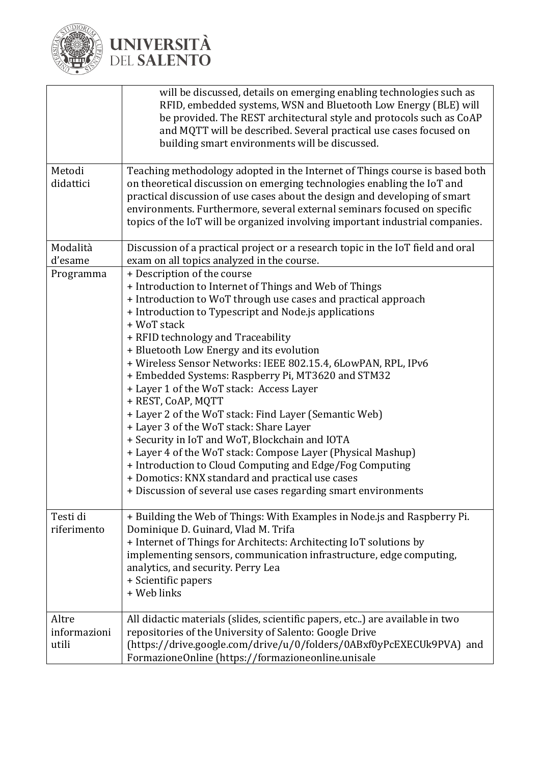

 $\Gamma$ 

## **UNIVERSITÀ**<br>DEL SALENTO

|                                | will be discussed, details on emerging enabling technologies such as<br>RFID, embedded systems, WSN and Bluetooth Low Energy (BLE) will<br>be provided. The REST architectural style and protocols such as CoAP<br>and MQTT will be described. Several practical use cases focused on<br>building smart environments will be discussed.                                                                                                                                                                                                                                                                                                                                                                                                                                                                                                                                                                           |
|--------------------------------|-------------------------------------------------------------------------------------------------------------------------------------------------------------------------------------------------------------------------------------------------------------------------------------------------------------------------------------------------------------------------------------------------------------------------------------------------------------------------------------------------------------------------------------------------------------------------------------------------------------------------------------------------------------------------------------------------------------------------------------------------------------------------------------------------------------------------------------------------------------------------------------------------------------------|
| Metodi<br>didattici            | Teaching methodology adopted in the Internet of Things course is based both<br>on theoretical discussion on emerging technologies enabling the IoT and<br>practical discussion of use cases about the design and developing of smart<br>environments. Furthermore, several external seminars focused on specific<br>topics of the IoT will be organized involving important industrial companies.                                                                                                                                                                                                                                                                                                                                                                                                                                                                                                                 |
| Modalità<br>d'esame            | Discussion of a practical project or a research topic in the IoT field and oral<br>exam on all topics analyzed in the course.                                                                                                                                                                                                                                                                                                                                                                                                                                                                                                                                                                                                                                                                                                                                                                                     |
| Programma                      | + Description of the course<br>+ Introduction to Internet of Things and Web of Things<br>+ Introduction to WoT through use cases and practical approach<br>+ Introduction to Typescript and Node.js applications<br>+ WoT stack<br>+ RFID technology and Traceability<br>+ Bluetooth Low Energy and its evolution<br>+ Wireless Sensor Networks: IEEE 802.15.4, 6LowPAN, RPL, IPv6<br>+ Embedded Systems: Raspberry Pi, MT3620 and STM32<br>+ Layer 1 of the WoT stack: Access Layer<br>+ REST, CoAP, MQTT<br>+ Layer 2 of the WoT stack: Find Layer (Semantic Web)<br>+ Layer 3 of the WoT stack: Share Layer<br>+ Security in IoT and WoT, Blockchain and IOTA<br>+ Layer 4 of the WoT stack: Compose Layer (Physical Mashup)<br>+ Introduction to Cloud Computing and Edge/Fog Computing<br>+ Domotics: KNX standard and practical use cases<br>+ Discussion of several use cases regarding smart environments |
| Testi di<br>riferimento        | + Building the Web of Things: With Examples in Node.js and Raspberry Pi.<br>Dominique D. Guinard, Vlad M. Trifa<br>+ Internet of Things for Architects: Architecting IoT solutions by<br>implementing sensors, communication infrastructure, edge computing,<br>analytics, and security. Perry Lea<br>+ Scientific papers<br>+ Web links                                                                                                                                                                                                                                                                                                                                                                                                                                                                                                                                                                          |
| Altre<br>informazioni<br>utili | All didactic materials (slides, scientific papers, etc) are available in two<br>repositories of the University of Salento: Google Drive<br>(https://drive.google.com/drive/u/0/folders/0ABxf0yPcEXECUk9PVA) and<br>FormazioneOnline (https://formazioneonline.unisale                                                                                                                                                                                                                                                                                                                                                                                                                                                                                                                                                                                                                                             |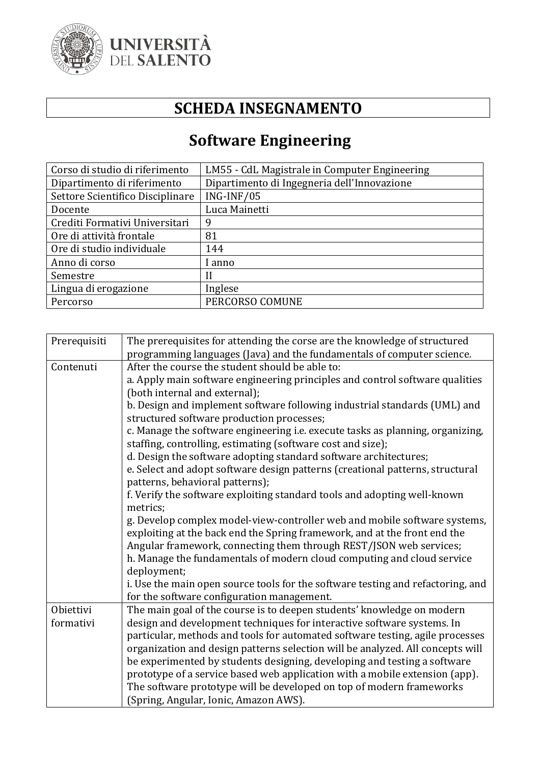

### **SCHEDA INSEGNAMENTO**

## **Software Engineering**

| Corso di studio di riferimento   | LM55 - CdL Magistrale in Computer Engineering |
|----------------------------------|-----------------------------------------------|
| Dipartimento di riferimento      | Dipartimento di Ingegneria dell'Innovazione   |
| Settore Scientifico Disciplinare | ING-INF/05                                    |
| Docente                          | Luca Mainetti                                 |
| Crediti Formativi Universitari   | 9                                             |
| Ore di attività frontale         | 81                                            |
| Ore di studio individuale        | 144                                           |
| Anno di corso                    | l anno                                        |
| Semestre                         |                                               |
| Lingua di erogazione             | Inglese                                       |
| Percorso                         | PERCORSO COMUNE                               |

| Prerequisiti | The prerequisites for attending the corse are the knowledge of structured       |
|--------------|---------------------------------------------------------------------------------|
|              | programming languages (Java) and the fundamentals of computer science.          |
| Contenuti    | After the course the student should be able to:                                 |
|              | a. Apply main software engineering principles and control software qualities    |
|              | (both internal and external);                                                   |
|              | b. Design and implement software following industrial standards (UML) and       |
|              | structured software production processes;                                       |
|              | c. Manage the software engineering i.e. execute tasks as planning, organizing,  |
|              | staffing, controlling, estimating (software cost and size);                     |
|              | d. Design the software adopting standard software architectures;                |
|              | e. Select and adopt software design patterns (creational patterns, structural   |
|              | patterns, behavioral patterns);                                                 |
|              | f. Verify the software exploiting standard tools and adopting well-known        |
|              | metrics;                                                                        |
|              | g. Develop complex model-view-controller web and mobile software systems,       |
|              | exploiting at the back end the Spring framework, and at the front end the       |
|              | Angular framework, connecting them through REST/JSON web services;              |
|              | h. Manage the fundamentals of modern cloud computing and cloud service          |
|              | deployment;                                                                     |
|              | i. Use the main open source tools for the software testing and refactoring, and |
|              | for the software configuration management.                                      |
| Obiettivi    | The main goal of the course is to deepen students' knowledge on modern          |
| formativi    | design and development techniques for interactive software systems. In          |
|              | particular, methods and tools for automated software testing, agile processes   |
|              | organization and design patterns selection will be analyzed. All concepts will  |
|              | be experimented by students designing, developing and testing a software        |
|              | prototype of a service based web application with a mobile extension (app).     |
|              | The software prototype will be developed on top of modern frameworks            |
|              | (Spring, Angular, Ionic, Amazon AWS).                                           |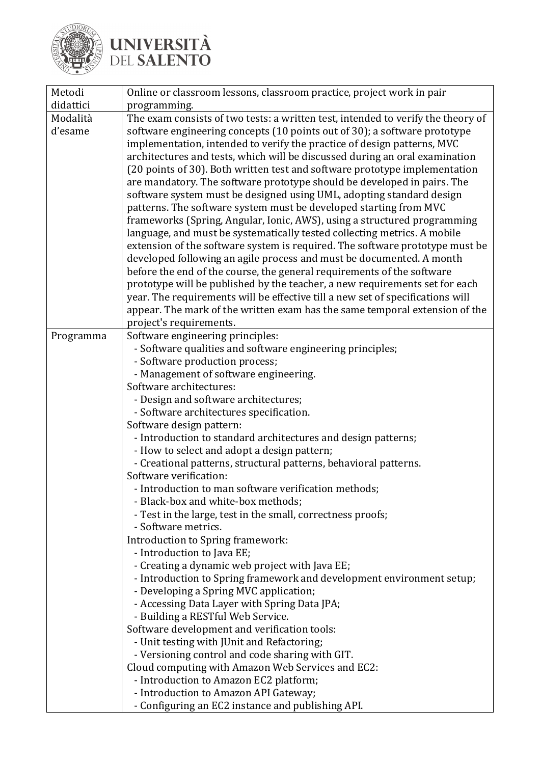

| Metodi    | Online or classroom lessons, classroom practice, project work in pair                                        |
|-----------|--------------------------------------------------------------------------------------------------------------|
| didattici | programming.                                                                                                 |
| Modalità  | The exam consists of two tests: a written test, intended to verify the theory of                             |
| d'esame   | software engineering concepts (10 points out of 30); a software prototype                                    |
|           | implementation, intended to verify the practice of design patterns, MVC                                      |
|           | architectures and tests, which will be discussed during an oral examination                                  |
|           | (20 points of 30). Both written test and software prototype implementation                                   |
|           | are mandatory. The software prototype should be developed in pairs. The                                      |
|           | software system must be designed using UML, adopting standard design                                         |
|           | patterns. The software system must be developed starting from MVC                                            |
|           | frameworks (Spring, Angular, Ionic, AWS), using a structured programming                                     |
|           | language, and must be systematically tested collecting metrics. A mobile                                     |
|           | extension of the software system is required. The software prototype must be                                 |
|           | developed following an agile process and must be documented. A month                                         |
|           | before the end of the course, the general requirements of the software                                       |
|           | prototype will be published by the teacher, a new requirements set for each                                  |
|           | year. The requirements will be effective till a new set of specifications will                               |
|           | appear. The mark of the written exam has the same temporal extension of the                                  |
|           | project's requirements.                                                                                      |
| Programma | Software engineering principles:                                                                             |
|           | - Software qualities and software engineering principles;                                                    |
|           | - Software production process;                                                                               |
|           | - Management of software engineering.                                                                        |
|           | Software architectures:                                                                                      |
|           | - Design and software architectures;                                                                         |
|           | - Software architectures specification.                                                                      |
|           | Software design pattern:                                                                                     |
|           | - Introduction to standard architectures and design patterns;<br>- How to select and adopt a design pattern; |
|           | - Creational patterns, structural patterns, behavioral patterns.                                             |
|           | Software verification:                                                                                       |
|           | - Introduction to man software verification methods;                                                         |
|           | - Black-box and white-box methods;                                                                           |
|           | - Test in the large, test in the small, correctness proofs;                                                  |
|           | - Software metrics.                                                                                          |
|           | Introduction to Spring framework:                                                                            |
|           | - Introduction to Java EE;                                                                                   |
|           | - Creating a dynamic web project with Java EE;                                                               |
|           | - Introduction to Spring framework and development environment setup;                                        |
|           | - Developing a Spring MVC application;                                                                       |
|           | - Accessing Data Layer with Spring Data JPA;                                                                 |
|           | - Building a RESTful Web Service.                                                                            |
|           | Software development and verification tools:                                                                 |
|           | - Unit testing with JUnit and Refactoring;                                                                   |
|           | - Versioning control and code sharing with GIT.                                                              |
|           | Cloud computing with Amazon Web Services and EC2:                                                            |
|           | - Introduction to Amazon EC2 platform;                                                                       |
|           | - Introduction to Amazon API Gateway;                                                                        |
|           | - Configuring an EC2 instance and publishing API.                                                            |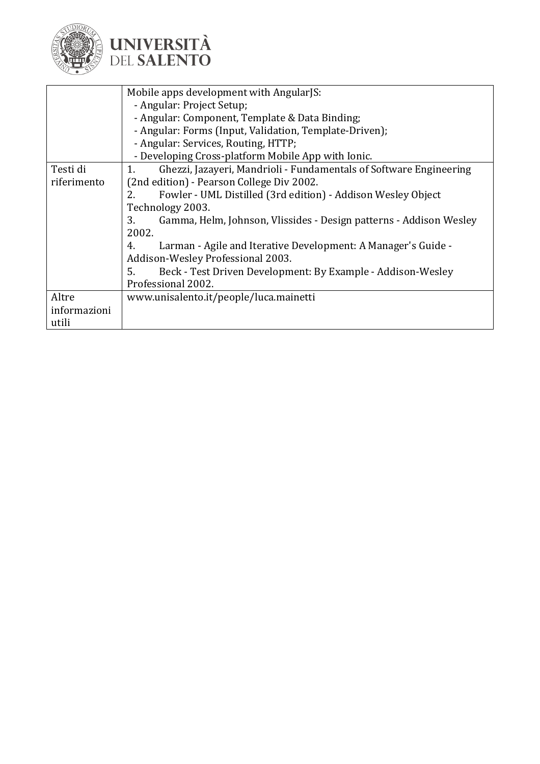

| Gamma, Helm, Johnson, Vlissides - Design patterns - Addison Wesley |
|--------------------------------------------------------------------|
|                                                                    |
|                                                                    |
|                                                                    |
|                                                                    |
|                                                                    |
|                                                                    |
|                                                                    |
|                                                                    |
| Ghezzi, Jazayeri, Mandrioli - Fundamentals of Software Engineering |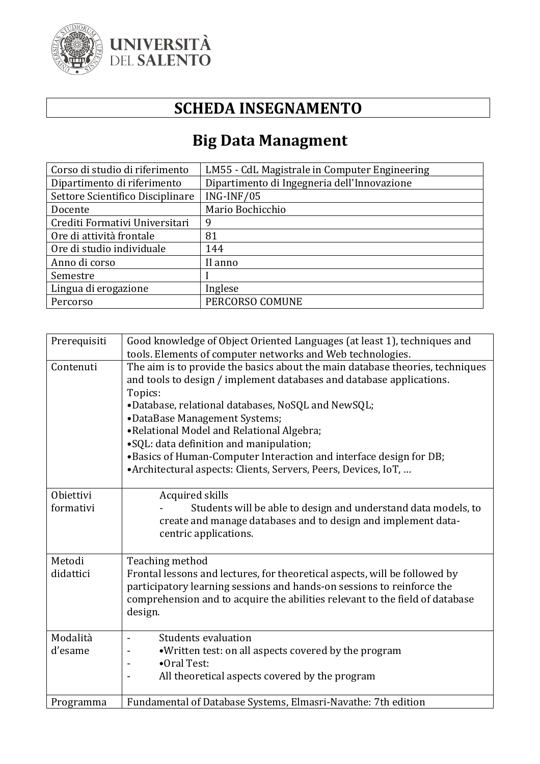

### **SCHEDA INSEGNAMENTO**

## **Big Data Managment**

| Corso di studio di riferimento   | LM55 - CdL Magistrale in Computer Engineering |
|----------------------------------|-----------------------------------------------|
| Dipartimento di riferimento      | Dipartimento di Ingegneria dell'Innovazione   |
| Settore Scientifico Disciplinare | $ING-INF/05$                                  |
| Docente                          | Mario Bochicchio                              |
| Crediti Formativi Universitari   | 9                                             |
| Ore di attività frontale         | 81                                            |
| Ore di studio individuale        | 144                                           |
| Anno di corso                    | II anno                                       |
| Semestre                         |                                               |
| Lingua di erogazione             | Inglese                                       |
| Percorso                         | PERCORSO COMUNE                               |

| Prerequisiti           | Good knowledge of Object Oriented Languages (at least 1), techniques and<br>tools. Elements of computer networks and Web technologies.                                                                                                                                                                                                                                                                                                                                                  |
|------------------------|-----------------------------------------------------------------------------------------------------------------------------------------------------------------------------------------------------------------------------------------------------------------------------------------------------------------------------------------------------------------------------------------------------------------------------------------------------------------------------------------|
| Contenuti              | The aim is to provide the basics about the main database theories, techniques<br>and tools to design / implement databases and database applications.<br>Topics:<br>•Database, relational databases, NoSQL and NewSQL;<br>•DataBase Management Systems;<br>•Relational Model and Relational Algebra;<br>•SQL: data definition and manipulation;<br>•Basics of Human-Computer Interaction and interface design for DB;<br>•Architectural aspects: Clients, Servers, Peers, Devices, IoT, |
| Obiettivi<br>formativi | Acquired skills<br>Students will be able to design and understand data models, to<br>create and manage databases and to design and implement data-<br>centric applications.                                                                                                                                                                                                                                                                                                             |
| Metodi<br>didattici    | Teaching method<br>Frontal lessons and lectures, for theoretical aspects, will be followed by<br>participatory learning sessions and hands-on sessions to reinforce the<br>comprehension and to acquire the abilities relevant to the field of database<br>design.                                                                                                                                                                                                                      |
| Modalità<br>d'esame    | Students evaluation<br>• Written test: on all aspects covered by the program<br>•Oral Test:<br>All theoretical aspects covered by the program                                                                                                                                                                                                                                                                                                                                           |
| Programma              | Fundamental of Database Systems, Elmasri-Navathe: 7th edition                                                                                                                                                                                                                                                                                                                                                                                                                           |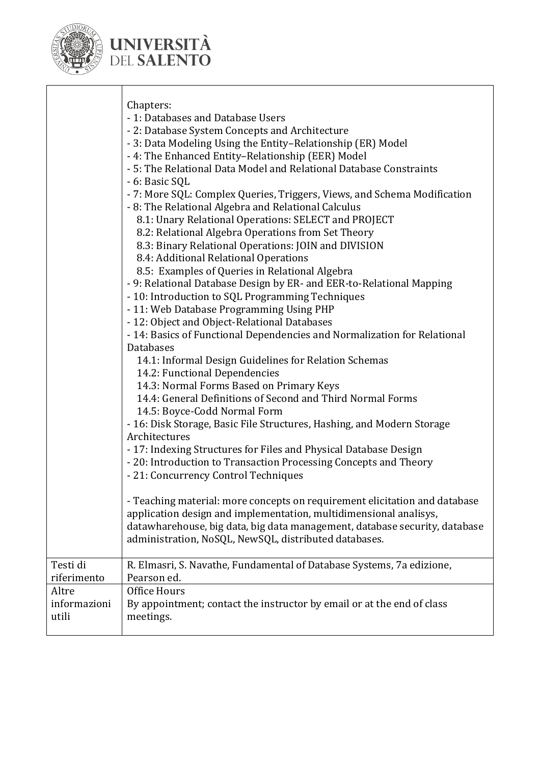

|                                                           | Chapters:<br>- 1: Databases and Database Users<br>- 2: Database System Concepts and Architecture<br>- 3: Data Modeling Using the Entity-Relationship (ER) Model<br>- 4: The Enhanced Entity-Relationship (EER) Model<br>- 5: The Relational Data Model and Relational Database Constraints<br>- 6: Basic SQL<br>- 7: More SQL: Complex Queries, Triggers, Views, and Schema Modification<br>- 8: The Relational Algebra and Relational Calculus<br>8.1: Unary Relational Operations: SELECT and PROJECT<br>8.2: Relational Algebra Operations from Set Theory<br>8.3: Binary Relational Operations: JOIN and DIVISION<br>8.4: Additional Relational Operations<br>8.5: Examples of Queries in Relational Algebra<br>- 9: Relational Database Design by ER- and EER-to-Relational Mapping<br>- 10: Introduction to SQL Programming Techniques<br>- 11: Web Database Programming Using PHP<br>- 12: Object and Object-Relational Databases<br>- 14: Basics of Functional Dependencies and Normalization for Relational<br><b>Databases</b><br>14.1: Informal Design Guidelines for Relation Schemas<br>14.2: Functional Dependencies<br>14.3: Normal Forms Based on Primary Keys<br>14.4: General Definitions of Second and Third Normal Forms<br>14.5: Boyce-Codd Normal Form<br>- 16: Disk Storage, Basic File Structures, Hashing, and Modern Storage<br>Architectures<br>- 17: Indexing Structures for Files and Physical Database Design<br>- 20: Introduction to Transaction Processing Concepts and Theory<br>- 21: Concurrency Control Techniques<br>- Teaching material: more concepts on requirement elicitation and database<br>application design and implementation, multidimensional analisys,<br>datawharehouse, big data, big data management, database security, database<br>administration, NoSQL, NewSQL, distributed databases. |
|-----------------------------------------------------------|---------------------------------------------------------------------------------------------------------------------------------------------------------------------------------------------------------------------------------------------------------------------------------------------------------------------------------------------------------------------------------------------------------------------------------------------------------------------------------------------------------------------------------------------------------------------------------------------------------------------------------------------------------------------------------------------------------------------------------------------------------------------------------------------------------------------------------------------------------------------------------------------------------------------------------------------------------------------------------------------------------------------------------------------------------------------------------------------------------------------------------------------------------------------------------------------------------------------------------------------------------------------------------------------------------------------------------------------------------------------------------------------------------------------------------------------------------------------------------------------------------------------------------------------------------------------------------------------------------------------------------------------------------------------------------------------------------------------------------------------------------------------------------------------------------------------------------------------------|
| Testi di<br>riferimento<br>Altre<br>informazioni<br>utili | R. Elmasri, S. Navathe, Fundamental of Database Systems, 7a edizione,<br>Pearson ed.<br>Office Hours<br>By appointment; contact the instructor by email or at the end of class<br>meetings.                                                                                                                                                                                                                                                                                                                                                                                                                                                                                                                                                                                                                                                                                                                                                                                                                                                                                                                                                                                                                                                                                                                                                                                                                                                                                                                                                                                                                                                                                                                                                                                                                                                       |
|                                                           |                                                                                                                                                                                                                                                                                                                                                                                                                                                                                                                                                                                                                                                                                                                                                                                                                                                                                                                                                                                                                                                                                                                                                                                                                                                                                                                                                                                                                                                                                                                                                                                                                                                                                                                                                                                                                                                   |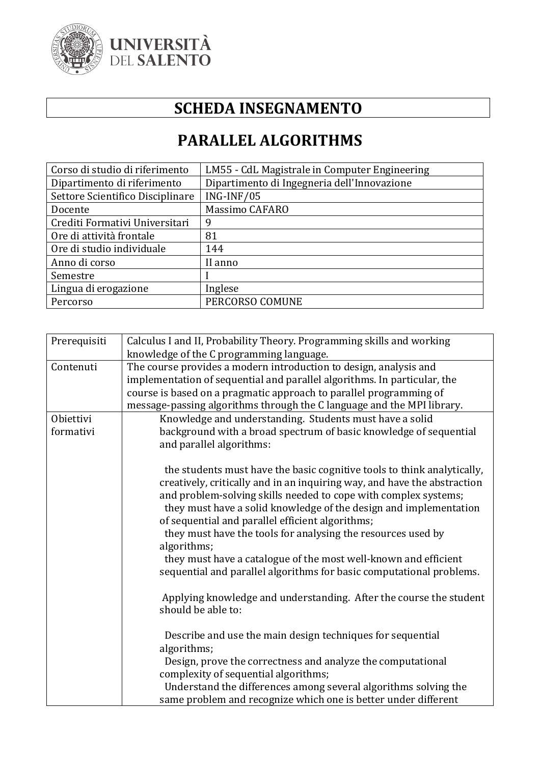

### **SCHEDA INSEGNAMENTO**

### **PARALLEL ALGORITHMS**

| Corso di studio di riferimento   | LM55 - CdL Magistrale in Computer Engineering |
|----------------------------------|-----------------------------------------------|
| Dipartimento di riferimento      | Dipartimento di Ingegneria dell'Innovazione   |
| Settore Scientifico Disciplinare | ING-INF/05                                    |
| Docente                          | Massimo CAFARO                                |
| Crediti Formativi Universitari   | 9                                             |
| Ore di attività frontale         | 81                                            |
| Ore di studio individuale        | 144                                           |
| Anno di corso                    | II anno                                       |
| Semestre                         |                                               |
| Lingua di erogazione             | Inglese                                       |
| Percorso                         | PERCORSO COMUNE                               |

| Prerequisiti | Calculus I and II, Probability Theory. Programming skills and working    |
|--------------|--------------------------------------------------------------------------|
|              | knowledge of the C programming language.                                 |
| Contenuti    | The course provides a modern introduction to design, analysis and        |
|              | implementation of sequential and parallel algorithms. In particular, the |
|              | course is based on a pragmatic approach to parallel programming of       |
|              | message-passing algorithms through the C language and the MPI library.   |
| Obiettivi    | Knowledge and understanding. Students must have a solid                  |
| formativi    | background with a broad spectrum of basic knowledge of sequential        |
|              | and parallel algorithms:                                                 |
|              |                                                                          |
|              | the students must have the basic cognitive tools to think analytically,  |
|              | creatively, critically and in an inquiring way, and have the abstraction |
|              | and problem-solving skills needed to cope with complex systems;          |
|              | they must have a solid knowledge of the design and implementation        |
|              | of sequential and parallel efficient algorithms;                         |
|              | they must have the tools for analysing the resources used by             |
|              | algorithms;                                                              |
|              |                                                                          |
|              | they must have a catalogue of the most well-known and efficient          |
|              | sequential and parallel algorithms for basic computational problems.     |
|              |                                                                          |
|              | Applying knowledge and understanding. After the course the student       |
|              | should be able to:                                                       |
|              |                                                                          |
|              | Describe and use the main design techniques for sequential               |
|              | algorithms;                                                              |
|              | Design, prove the correctness and analyze the computational              |
|              | complexity of sequential algorithms;                                     |
|              | Understand the differences among several algorithms solving the          |
|              | same problem and recognize which one is better under different           |
|              |                                                                          |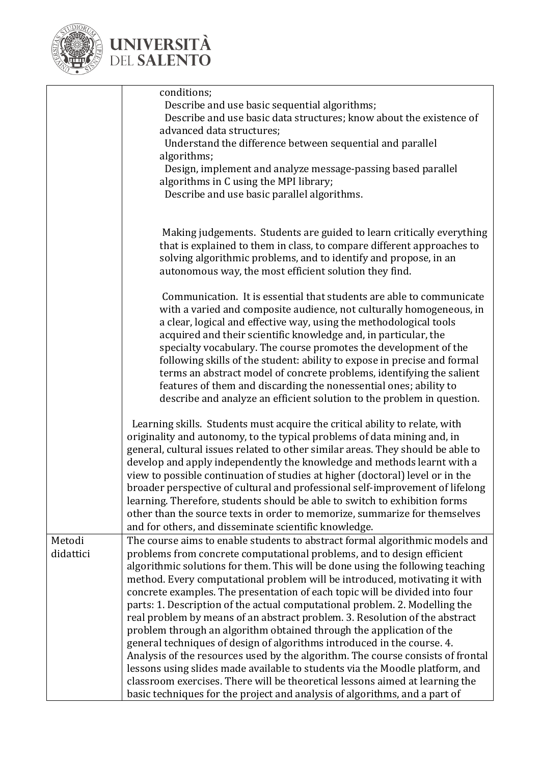

|                     | conditions;<br>Describe and use basic sequential algorithms;<br>Describe and use basic data structures; know about the existence of<br>advanced data structures;<br>Understand the difference between sequential and parallel<br>algorithms;<br>Design, implement and analyze message-passing based parallel<br>algorithms in C using the MPI library;<br>Describe and use basic parallel algorithms.                                                                                                                                                                                                                                                                                                                                                                                                                                                                                                                                                                                                                                                   |
|---------------------|---------------------------------------------------------------------------------------------------------------------------------------------------------------------------------------------------------------------------------------------------------------------------------------------------------------------------------------------------------------------------------------------------------------------------------------------------------------------------------------------------------------------------------------------------------------------------------------------------------------------------------------------------------------------------------------------------------------------------------------------------------------------------------------------------------------------------------------------------------------------------------------------------------------------------------------------------------------------------------------------------------------------------------------------------------|
|                     | Making judgements. Students are guided to learn critically everything<br>that is explained to them in class, to compare different approaches to<br>solving algorithmic problems, and to identify and propose, in an<br>autonomous way, the most efficient solution they find.                                                                                                                                                                                                                                                                                                                                                                                                                                                                                                                                                                                                                                                                                                                                                                           |
|                     | Communication. It is essential that students are able to communicate<br>with a varied and composite audience, not culturally homogeneous, in<br>a clear, logical and effective way, using the methodological tools<br>acquired and their scientific knowledge and, in particular, the<br>specialty vocabulary. The course promotes the development of the<br>following skills of the student: ability to expose in precise and formal<br>terms an abstract model of concrete problems, identifying the salient<br>features of them and discarding the nonessential ones; ability to<br>describe and analyze an efficient solution to the problem in question.                                                                                                                                                                                                                                                                                                                                                                                           |
|                     | Learning skills. Students must acquire the critical ability to relate, with<br>originality and autonomy, to the typical problems of data mining and, in<br>general, cultural issues related to other similar areas. They should be able to<br>develop and apply independently the knowledge and methods learnt with a<br>view to possible continuation of studies at higher (doctoral) level or in the<br>broader perspective of cultural and professional self-improvement of lifelong<br>learning. Therefore, students should be able to switch to exhibition forms<br>other than the source texts in order to memorize, summarize for themselves<br>and for others, and disseminate scientific knowledge.                                                                                                                                                                                                                                                                                                                                            |
| Metodi<br>didattici | The course aims to enable students to abstract formal algorithmic models and<br>problems from concrete computational problems, and to design efficient<br>algorithmic solutions for them. This will be done using the following teaching<br>method. Every computational problem will be introduced, motivating it with<br>concrete examples. The presentation of each topic will be divided into four<br>parts: 1. Description of the actual computational problem. 2. Modelling the<br>real problem by means of an abstract problem. 3. Resolution of the abstract<br>problem through an algorithm obtained through the application of the<br>general techniques of design of algorithms introduced in the course. 4.<br>Analysis of the resources used by the algorithm. The course consists of frontal<br>lessons using slides made available to students via the Moodle platform, and<br>classroom exercises. There will be theoretical lessons aimed at learning the<br>basic techniques for the project and analysis of algorithms, and a part of |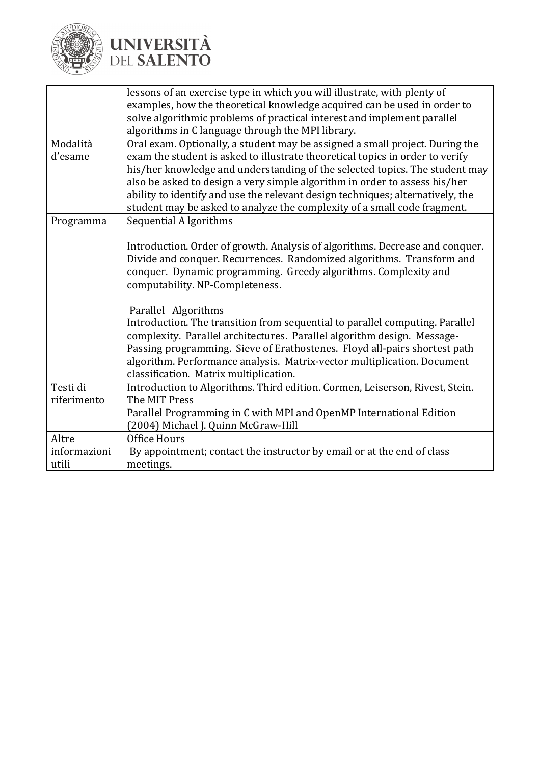

|              | lessons of an exercise type in which you will illustrate, with plenty of       |  |
|--------------|--------------------------------------------------------------------------------|--|
|              | examples, how the theoretical knowledge acquired can be used in order to       |  |
|              | solve algorithmic problems of practical interest and implement parallel        |  |
|              | algorithms in C language through the MPI library.                              |  |
| Modalità     | Oral exam. Optionally, a student may be assigned a small project. During the   |  |
| d'esame      | exam the student is asked to illustrate theoretical topics in order to verify  |  |
|              | his/her knowledge and understanding of the selected topics. The student may    |  |
|              | also be asked to design a very simple algorithm in order to assess his/her     |  |
|              | ability to identify and use the relevant design techniques; alternatively, the |  |
|              | student may be asked to analyze the complexity of a small code fragment.       |  |
| Programma    | Sequential A lgorithms                                                         |  |
|              |                                                                                |  |
|              | Introduction. Order of growth. Analysis of algorithms. Decrease and conquer.   |  |
|              | Divide and conquer. Recurrences. Randomized algorithms. Transform and          |  |
|              | conquer. Dynamic programming. Greedy algorithms. Complexity and                |  |
|              | computability. NP-Completeness.                                                |  |
|              |                                                                                |  |
|              | Parallel Algorithms                                                            |  |
|              | Introduction. The transition from sequential to parallel computing. Parallel   |  |
|              | complexity. Parallel architectures. Parallel algorithm design. Message-        |  |
|              | Passing programming. Sieve of Erathostenes. Floyd all-pairs shortest path      |  |
|              | algorithm. Performance analysis. Matrix-vector multiplication. Document        |  |
|              | classification. Matrix multiplication.                                         |  |
| Testi di     | Introduction to Algorithms. Third edition. Cormen, Leiserson, Rivest, Stein.   |  |
| riferimento  | The MIT Press                                                                  |  |
|              | Parallel Programming in C with MPI and OpenMP International Edition            |  |
|              | (2004) Michael J. Quinn McGraw-Hill                                            |  |
| Altre        | Office Hours                                                                   |  |
| informazioni | By appointment; contact the instructor by email or at the end of class         |  |
| utili        | meetings.                                                                      |  |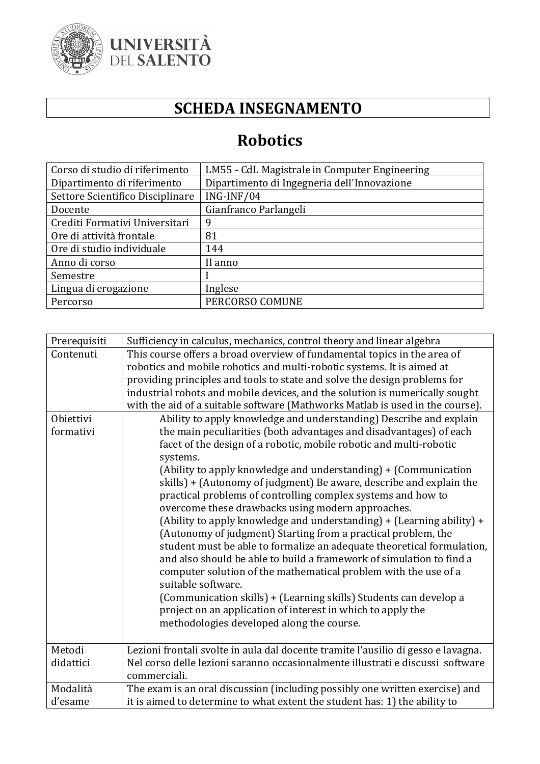

### **SCHEDA INSEGNAMENTO**

### **Robotics**

| Corso di studio di riferimento   | LM55 - CdL Magistrale in Computer Engineering |
|----------------------------------|-----------------------------------------------|
| Dipartimento di riferimento      | Dipartimento di Ingegneria dell'Innovazione   |
| Settore Scientifico Disciplinare | $ING-INF/04$                                  |
| Docente                          | Gianfranco Parlangeli                         |
| Crediti Formativi Universitari   | 9                                             |
| Ore di attività frontale         | 81                                            |
| Ore di studio individuale        | 144                                           |
| Anno di corso                    | II anno                                       |
| Semestre                         |                                               |
| Lingua di erogazione             | Inglese                                       |
| Percorso                         | PERCORSO COMUNE                               |

| Prerequisiti | Sufficiency in calculus, mechanics, control theory and linear algebra             |
|--------------|-----------------------------------------------------------------------------------|
| Contenuti    | This course offers a broad overview of fundamental topics in the area of          |
|              | robotics and mobile robotics and multi-robotic systems. It is aimed at            |
|              | providing principles and tools to state and solve the design problems for         |
|              | industrial robots and mobile devices, and the solution is numerically sought      |
|              | with the aid of a suitable software (Mathworks Matlab is used in the course).     |
| Obiettivi    | Ability to apply knowledge and understanding) Describe and explain                |
| formativi    | the main peculiarities (both advantages and disadvantages) of each                |
|              | facet of the design of a robotic, mobile robotic and multi-robotic                |
|              | systems.                                                                          |
|              | (Ability to apply knowledge and understanding) + (Communication                   |
|              | skills) + (Autonomy of judgment) Be aware, describe and explain the               |
|              | practical problems of controlling complex systems and how to                      |
|              | overcome these drawbacks using modern approaches.                                 |
|              | (Ability to apply knowledge and understanding) + (Learning ability) +             |
|              | (Autonomy of judgment) Starting from a practical problem, the                     |
|              | student must be able to formalize an adequate theoretical formulation,            |
|              | and also should be able to build a framework of simulation to find a              |
|              | computer solution of the mathematical problem with the use of a                   |
|              | suitable software.                                                                |
|              | (Communication skills) + (Learning skills) Students can develop a                 |
|              | project on an application of interest in which to apply the                       |
|              | methodologies developed along the course.                                         |
|              |                                                                                   |
| Metodi       | Lezioni frontali svolte in aula dal docente tramite l'ausilio di gesso e lavagna. |
| didattici    | Nel corso delle lezioni saranno occasionalmente illustrati e discussi software    |
|              | commerciali.                                                                      |
| Modalità     | The exam is an oral discussion (including possibly one written exercise) and      |
| d'esame      | it is aimed to determine to what extent the student has: 1) the ability to        |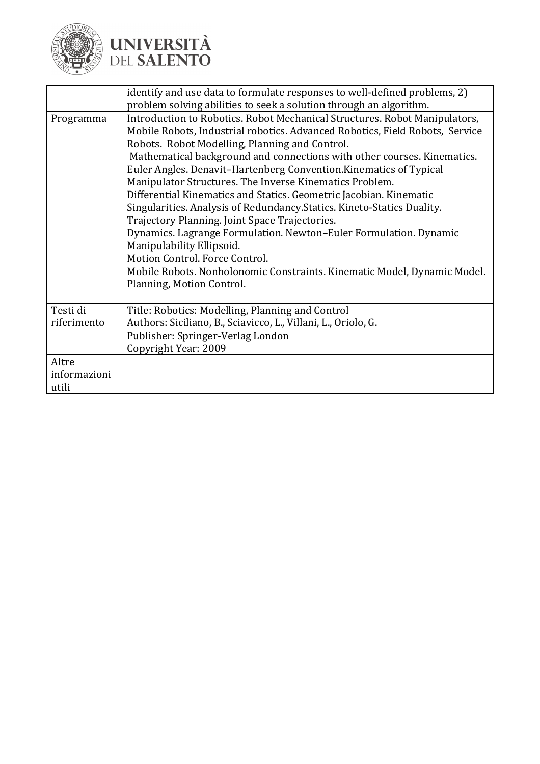

|                                | identify and use data to formulate responses to well-defined problems, 2)<br>problem solving abilities to seek a solution through an algorithm.                                                                                                                                                                                                                                                                                                                                                                                                                                                                                                                                                                                                                                                                                                                          |
|--------------------------------|--------------------------------------------------------------------------------------------------------------------------------------------------------------------------------------------------------------------------------------------------------------------------------------------------------------------------------------------------------------------------------------------------------------------------------------------------------------------------------------------------------------------------------------------------------------------------------------------------------------------------------------------------------------------------------------------------------------------------------------------------------------------------------------------------------------------------------------------------------------------------|
| Programma                      | Introduction to Robotics. Robot Mechanical Structures. Robot Manipulators,<br>Mobile Robots, Industrial robotics. Advanced Robotics, Field Robots, Service<br>Robots. Robot Modelling, Planning and Control.<br>Mathematical background and connections with other courses. Kinematics.<br>Euler Angles. Denavit-Hartenberg Convention. Kinematics of Typical<br>Manipulator Structures. The Inverse Kinematics Problem.<br>Differential Kinematics and Statics. Geometric Jacobian. Kinematic<br>Singularities. Analysis of Redundancy. Statics. Kineto-Statics Duality.<br>Trajectory Planning. Joint Space Trajectories.<br>Dynamics. Lagrange Formulation. Newton-Euler Formulation. Dynamic<br>Manipulability Ellipsoid.<br>Motion Control. Force Control.<br>Mobile Robots. Nonholonomic Constraints. Kinematic Model, Dynamic Model.<br>Planning, Motion Control. |
| Testi di<br>riferimento        | Title: Robotics: Modelling, Planning and Control<br>Authors: Siciliano, B., Sciavicco, L., Villani, L., Oriolo, G.<br>Publisher: Springer-Verlag London<br>Copyright Year: 2009                                                                                                                                                                                                                                                                                                                                                                                                                                                                                                                                                                                                                                                                                          |
| Altre<br>informazioni<br>utili |                                                                                                                                                                                                                                                                                                                                                                                                                                                                                                                                                                                                                                                                                                                                                                                                                                                                          |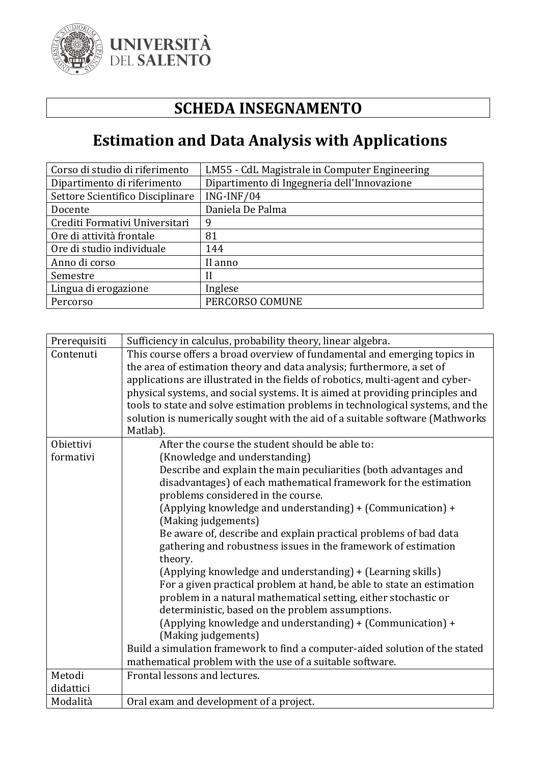

### **SCHEDA INSEGNAMENTO**

## **Estimation and Data Analysis with Applications**

| Corso di studio di riferimento   | LM55 - CdL Magistrale in Computer Engineering |
|----------------------------------|-----------------------------------------------|
| Dipartimento di riferimento      | Dipartimento di Ingegneria dell'Innovazione   |
| Settore Scientifico Disciplinare | ING-INF/04                                    |
| Docente                          | Daniela De Palma                              |
| Crediti Formativi Universitari   | 9                                             |
| Ore di attività frontale         | 81                                            |
| Ore di studio individuale        | 144                                           |
| Anno di corso                    | II anno                                       |
| Semestre                         |                                               |
| Lingua di erogazione             | Inglese                                       |
| Percorso                         | PERCORSO COMUNE                               |

| Prerequisiti | Sufficiency in calculus, probability theory, linear algebra.                      |
|--------------|-----------------------------------------------------------------------------------|
| Contenuti    | This course offers a broad overview of fundamental and emerging topics in         |
|              | the area of estimation theory and data analysis; furthermore, a set of            |
|              | applications are illustrated in the fields of robotics, multi-agent and cyber-    |
|              | physical systems, and social systems. It is aimed at providing principles and     |
|              | tools to state and solve estimation problems in technological systems, and the    |
|              | solution is numerically sought with the aid of a suitable software (Mathworks     |
|              | Matlab).                                                                          |
| Obiettivi    | After the course the student should be able to:                                   |
| formativi    | (Knowledge and understanding)                                                     |
|              | Describe and explain the main peculiarities (both advantages and                  |
|              | disadvantages) of each mathematical framework for the estimation                  |
|              | problems considered in the course.                                                |
|              | (Applying knowledge and understanding) + (Communication) +<br>(Making judgements) |
|              | Be aware of, describe and explain practical problems of bad data                  |
|              | gathering and robustness issues in the framework of estimation                    |
|              | theory.                                                                           |
|              | (Applying knowledge and understanding) + (Learning skills)                        |
|              | For a given practical problem at hand, be able to state an estimation             |
|              | problem in a natural mathematical setting, either stochastic or                   |
|              | deterministic, based on the problem assumptions.                                  |
|              | (Applying knowledge and understanding) + (Communication) +                        |
|              | (Making judgements)                                                               |
|              | Build a simulation framework to find a computer-aided solution of the stated      |
|              | mathematical problem with the use of a suitable software.                         |
| Metodi       | Frontal lessons and lectures.                                                     |
| didattici    |                                                                                   |
| Modalità     | Oral exam and development of a project.                                           |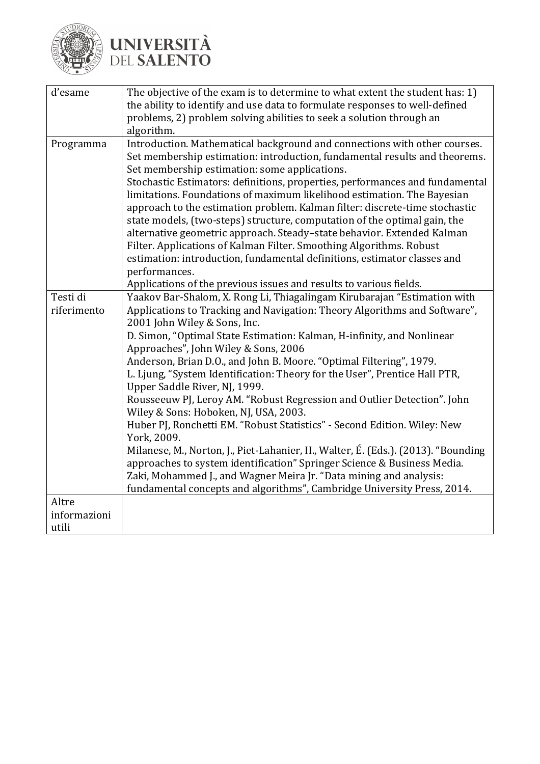

| d'esame                        | The objective of the exam is to determine to what extent the student has: 1)<br>the ability to identify and use data to formulate responses to well-defined<br>problems, 2) problem solving abilities to seek a solution through an<br>algorithm.                                                                                                                                                                                                                                                                                                                                                                                                                                                                                                                                                                                                                                                                                                                                                                             |
|--------------------------------|-------------------------------------------------------------------------------------------------------------------------------------------------------------------------------------------------------------------------------------------------------------------------------------------------------------------------------------------------------------------------------------------------------------------------------------------------------------------------------------------------------------------------------------------------------------------------------------------------------------------------------------------------------------------------------------------------------------------------------------------------------------------------------------------------------------------------------------------------------------------------------------------------------------------------------------------------------------------------------------------------------------------------------|
| Programma                      | Introduction. Mathematical background and connections with other courses.<br>Set membership estimation: introduction, fundamental results and theorems.<br>Set membership estimation: some applications.<br>Stochastic Estimators: definitions, properties, performances and fundamental<br>limitations. Foundations of maximum likelihood estimation. The Bayesian<br>approach to the estimation problem. Kalman filter: discrete-time stochastic<br>state models, (two-steps) structure, computation of the optimal gain, the<br>alternative geometric approach. Steady-state behavior. Extended Kalman<br>Filter. Applications of Kalman Filter. Smoothing Algorithms. Robust<br>estimation: introduction, fundamental definitions, estimator classes and<br>performances.<br>Applications of the previous issues and results to various fields.                                                                                                                                                                           |
| Testi di<br>riferimento        | Yaakov Bar-Shalom, X. Rong Li, Thiagalingam Kirubarajan "Estimation with<br>Applications to Tracking and Navigation: Theory Algorithms and Software",<br>2001 John Wiley & Sons, Inc.<br>D. Simon, "Optimal State Estimation: Kalman, H-infinity, and Nonlinear<br>Approaches", John Wiley & Sons, 2006<br>Anderson, Brian D.O., and John B. Moore. "Optimal Filtering", 1979.<br>L. Ljung, "System Identification: Theory for the User", Prentice Hall PTR,<br>Upper Saddle River, NJ, 1999.<br>Rousseeuw PJ, Leroy AM. "Robust Regression and Outlier Detection". John<br>Wiley & Sons: Hoboken, NJ, USA, 2003.<br>Huber PJ, Ronchetti EM. "Robust Statistics" - Second Edition. Wiley: New<br>York, 2009.<br>Milanese, M., Norton, J., Piet-Lahanier, H., Walter, É. (Eds.). (2013). "Bounding<br>approaches to system identification" Springer Science & Business Media.<br>Zaki, Mohammed J., and Wagner Meira Jr. "Data mining and analysis:<br>fundamental concepts and algorithms", Cambridge University Press, 2014. |
| Altre<br>informazioni<br>utili |                                                                                                                                                                                                                                                                                                                                                                                                                                                                                                                                                                                                                                                                                                                                                                                                                                                                                                                                                                                                                               |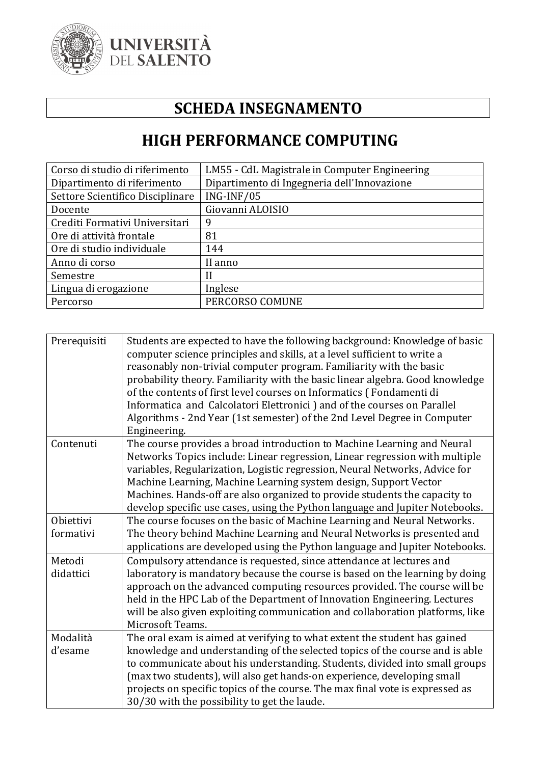

### **SCHEDA INSEGNAMENTO**

#### **HIGH PERFORMANCE COMPUTING**

| Corso di studio di riferimento   | LM55 - CdL Magistrale in Computer Engineering |
|----------------------------------|-----------------------------------------------|
| Dipartimento di riferimento      | Dipartimento di Ingegneria dell'Innovazione   |
| Settore Scientifico Disciplinare | $ING-INF/05$                                  |
| Docente                          | Giovanni ALOISIO                              |
| Crediti Formativi Universitari   | 9                                             |
| Ore di attività frontale         | 81                                            |
| Ore di studio individuale        | 144                                           |
| Anno di corso                    | II anno                                       |
| Semestre                         |                                               |
| Lingua di erogazione             | Inglese                                       |
| Percorso                         | PERCORSO COMUNE                               |

| Prerequisiti        | Students are expected to have the following background: Knowledge of basic<br>computer science principles and skills, at a level sufficient to write a<br>reasonably non-trivial computer program. Familiarity with the basic<br>probability theory. Familiarity with the basic linear algebra. Good knowledge<br>of the contents of first level courses on Informatics (Fondamenti di<br>Informatica and Calcolatori Elettronici ) and of the courses on Parallel<br>Algorithms - 2nd Year (1st semester) of the 2nd Level Degree in Computer<br>Engineering. |
|---------------------|----------------------------------------------------------------------------------------------------------------------------------------------------------------------------------------------------------------------------------------------------------------------------------------------------------------------------------------------------------------------------------------------------------------------------------------------------------------------------------------------------------------------------------------------------------------|
| Contenuti           | The course provides a broad introduction to Machine Learning and Neural<br>Networks Topics include: Linear regression, Linear regression with multiple<br>variables, Regularization, Logistic regression, Neural Networks, Advice for<br>Machine Learning, Machine Learning system design, Support Vector<br>Machines. Hands-off are also organized to provide students the capacity to<br>develop specific use cases, using the Python language and Jupiter Notebooks.                                                                                        |
| Obiettivi           | The course focuses on the basic of Machine Learning and Neural Networks.                                                                                                                                                                                                                                                                                                                                                                                                                                                                                       |
| formativi           | The theory behind Machine Learning and Neural Networks is presented and                                                                                                                                                                                                                                                                                                                                                                                                                                                                                        |
|                     | applications are developed using the Python language and Jupiter Notebooks.                                                                                                                                                                                                                                                                                                                                                                                                                                                                                    |
| Metodi<br>didattici | Compulsory attendance is requested, since attendance at lectures and<br>laboratory is mandatory because the course is based on the learning by doing<br>approach on the advanced computing resources provided. The course will be<br>held in the HPC Lab of the Department of Innovation Engineering. Lectures<br>will be also given exploiting communication and collaboration platforms, like<br>Microsoft Teams.                                                                                                                                            |
| Modalità            | The oral exam is aimed at verifying to what extent the student has gained                                                                                                                                                                                                                                                                                                                                                                                                                                                                                      |
| d'esame             | knowledge and understanding of the selected topics of the course and is able                                                                                                                                                                                                                                                                                                                                                                                                                                                                                   |
|                     | to communicate about his understanding. Students, divided into small groups                                                                                                                                                                                                                                                                                                                                                                                                                                                                                    |
|                     | (max two students), will also get hands-on experience, developing small                                                                                                                                                                                                                                                                                                                                                                                                                                                                                        |
|                     | projects on specific topics of the course. The max final vote is expressed as                                                                                                                                                                                                                                                                                                                                                                                                                                                                                  |
|                     | 30/30 with the possibility to get the laude.                                                                                                                                                                                                                                                                                                                                                                                                                                                                                                                   |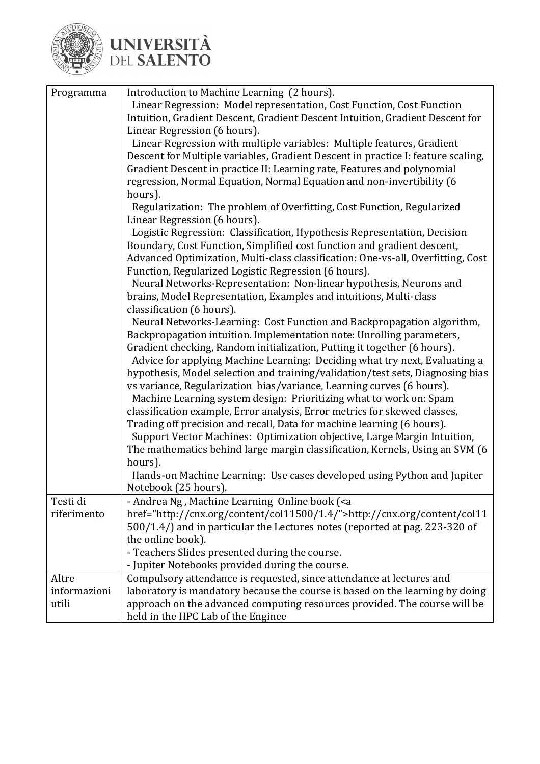

| Programma                      | Introduction to Machine Learning (2 hours).<br>Linear Regression: Model representation, Cost Function, Cost Function<br>Intuition, Gradient Descent, Gradient Descent Intuition, Gradient Descent for<br>Linear Regression (6 hours).                                                                                                                                                                                                                                                                                                                                                                                                                                                                                                                                                                                                                                                                                                                                                                    |
|--------------------------------|----------------------------------------------------------------------------------------------------------------------------------------------------------------------------------------------------------------------------------------------------------------------------------------------------------------------------------------------------------------------------------------------------------------------------------------------------------------------------------------------------------------------------------------------------------------------------------------------------------------------------------------------------------------------------------------------------------------------------------------------------------------------------------------------------------------------------------------------------------------------------------------------------------------------------------------------------------------------------------------------------------|
|                                | Linear Regression with multiple variables: Multiple features, Gradient<br>Descent for Multiple variables, Gradient Descent in practice I: feature scaling,<br>Gradient Descent in practice II: Learning rate, Features and polynomial<br>regression, Normal Equation, Normal Equation and non-invertibility (6                                                                                                                                                                                                                                                                                                                                                                                                                                                                                                                                                                                                                                                                                           |
|                                | hours).<br>Regularization: The problem of Overfitting, Cost Function, Regularized<br>Linear Regression (6 hours).                                                                                                                                                                                                                                                                                                                                                                                                                                                                                                                                                                                                                                                                                                                                                                                                                                                                                        |
|                                | Logistic Regression: Classification, Hypothesis Representation, Decision<br>Boundary, Cost Function, Simplified cost function and gradient descent,<br>Advanced Optimization, Multi-class classification: One-vs-all, Overfitting, Cost<br>Function, Regularized Logistic Regression (6 hours).                                                                                                                                                                                                                                                                                                                                                                                                                                                                                                                                                                                                                                                                                                          |
|                                | Neural Networks-Representation: Non-linear hypothesis, Neurons and<br>brains, Model Representation, Examples and intuitions, Multi-class                                                                                                                                                                                                                                                                                                                                                                                                                                                                                                                                                                                                                                                                                                                                                                                                                                                                 |
|                                | classification (6 hours).<br>Neural Networks-Learning: Cost Function and Backpropagation algorithm,<br>Backpropagation intuition. Implementation note: Unrolling parameters,<br>Gradient checking, Random initialization, Putting it together (6 hours).<br>Advice for applying Machine Learning: Deciding what try next, Evaluating a<br>hypothesis, Model selection and training/validation/test sets, Diagnosing bias<br>vs variance, Regularization bias/variance, Learning curves (6 hours).<br>Machine Learning system design: Prioritizing what to work on: Spam<br>classification example, Error analysis, Error metrics for skewed classes,<br>Trading off precision and recall, Data for machine learning (6 hours).<br>Support Vector Machines: Optimization objective, Large Margin Intuition,<br>The mathematics behind large margin classification, Kernels, Using an SVM (6<br>hours).<br>Hands-on Machine Learning: Use cases developed using Python and Jupiter<br>Notebook (25 hours). |
| Testi di<br>riferimento        | - Andrea Ng, Machine Learning Online book ( <a<br>href="http://cnx.org/content/col11500/1.4/"&gt;http://cnx.org/content/col11<br/>500/1.4/) and in particular the Lectures notes (reported at pag. 223-320 of<br/>the online book).<br/>- Teachers Slides presented during the course.</a<br>                                                                                                                                                                                                                                                                                                                                                                                                                                                                                                                                                                                                                                                                                                            |
|                                | - Jupiter Notebooks provided during the course.                                                                                                                                                                                                                                                                                                                                                                                                                                                                                                                                                                                                                                                                                                                                                                                                                                                                                                                                                          |
| Altre<br>informazioni<br>utili | Compulsory attendance is requested, since attendance at lectures and<br>laboratory is mandatory because the course is based on the learning by doing<br>approach on the advanced computing resources provided. The course will be<br>held in the HPC Lab of the Enginee                                                                                                                                                                                                                                                                                                                                                                                                                                                                                                                                                                                                                                                                                                                                  |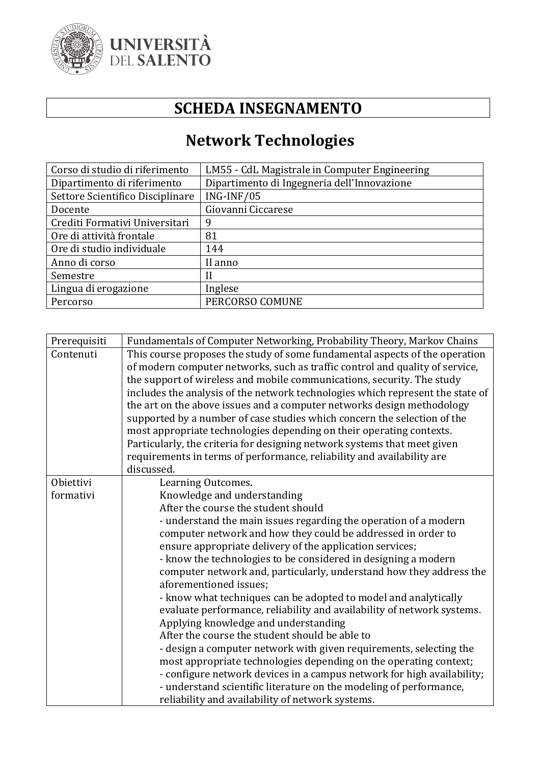

#### **SCHEDA INSEGNAMENTO**

## **Network Technologies**

| Corso di studio di riferimento   | LM55 - CdL Magistrale in Computer Engineering |
|----------------------------------|-----------------------------------------------|
| Dipartimento di riferimento      | Dipartimento di Ingegneria dell'Innovazione   |
| Settore Scientifico Disciplinare | ING-INF/05                                    |
| Docente                          | Giovanni Ciccarese                            |
| Crediti Formativi Universitari   | 9                                             |
| Ore di attività frontale         | 81                                            |
| Ore di studio individuale        | 144                                           |
| Anno di corso                    | II anno                                       |
| Semestre                         | H                                             |
| Lingua di erogazione             | Inglese                                       |
| Percorso                         | PERCORSO COMUNE                               |

| Prerequisiti | Fundamentals of Computer Networking, Probability Theory, Markov Chains         |
|--------------|--------------------------------------------------------------------------------|
| Contenuti    | This course proposes the study of some fundamental aspects of the operation    |
|              | of modern computer networks, such as traffic control and quality of service,   |
|              | the support of wireless and mobile communications, security. The study         |
|              | includes the analysis of the network technologies which represent the state of |
|              | the art on the above issues and a computer networks design methodology         |
|              | supported by a number of case studies which concern the selection of the       |
|              | most appropriate technologies depending on their operating contexts.           |
|              | Particularly, the criteria for designing network systems that meet given       |
|              | requirements in terms of performance, reliability and availability are         |
|              | discussed.                                                                     |
| Obiettivi    | Learning Outcomes.                                                             |
| formativi    | Knowledge and understanding                                                    |
|              | After the course the student should                                            |
|              | - understand the main issues regarding the operation of a modern               |
|              | computer network and how they could be addressed in order to                   |
|              | ensure appropriate delivery of the application services;                       |
|              | - know the technologies to be considered in designing a modern                 |
|              | computer network and, particularly, understand how they address the            |
|              | aforementioned issues;                                                         |
|              | - know what techniques can be adopted to model and analytically                |
|              | evaluate performance, reliability and availability of network systems.         |
|              | Applying knowledge and understanding                                           |
|              | After the course the student should be able to                                 |
|              | - design a computer network with given requirements, selecting the             |
|              | most appropriate technologies depending on the operating context;              |
|              | - configure network devices in a campus network for high availability;         |
|              | - understand scientific literature on the modeling of performance,             |
|              | reliability and availability of network systems.                               |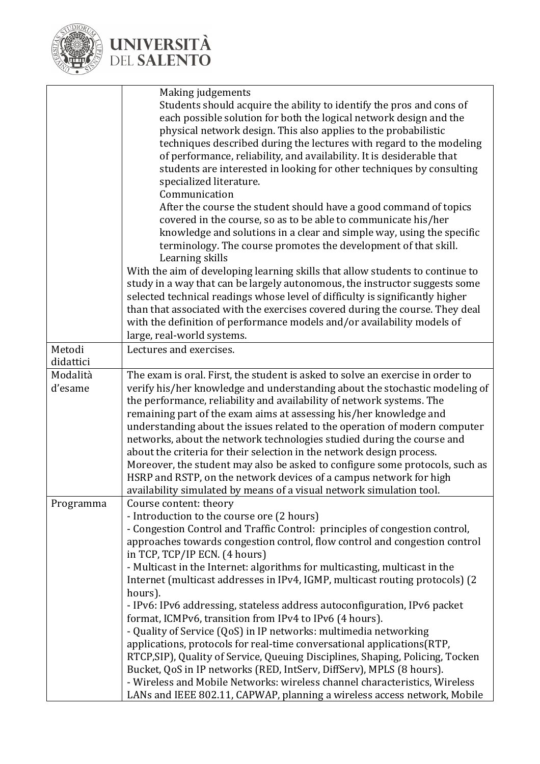

|           | Making judgements                                                              |
|-----------|--------------------------------------------------------------------------------|
|           | Students should acquire the ability to identify the pros and cons of           |
|           | each possible solution for both the logical network design and the             |
|           | physical network design. This also applies to the probabilistic                |
|           | techniques described during the lectures with regard to the modeling           |
|           | of performance, reliability, and availability. It is desiderable that          |
|           | students are interested in looking for other techniques by consulting          |
|           |                                                                                |
|           | specialized literature.<br>Communication                                       |
|           |                                                                                |
|           | After the course the student should have a good command of topics              |
|           | covered in the course, so as to be able to communicate his/her                 |
|           | knowledge and solutions in a clear and simple way, using the specific          |
|           | terminology. The course promotes the development of that skill.                |
|           | Learning skills                                                                |
|           | With the aim of developing learning skills that allow students to continue to  |
|           | study in a way that can be largely autonomous, the instructor suggests some    |
|           | selected technical readings whose level of difficulty is significantly higher  |
|           | than that associated with the exercises covered during the course. They deal   |
|           | with the definition of performance models and/or availability models of        |
|           | large, real-world systems.                                                     |
| Metodi    | Lectures and exercises.                                                        |
| didattici |                                                                                |
| Modalità  | The exam is oral. First, the student is asked to solve an exercise in order to |
| d'esame   | verify his/her knowledge and understanding about the stochastic modeling of    |
|           | the performance, reliability and availability of network systems. The          |
|           | remaining part of the exam aims at assessing his/her knowledge and             |
|           | understanding about the issues related to the operation of modern computer     |
|           | networks, about the network technologies studied during the course and         |
|           | about the criteria for their selection in the network design process.          |
|           | Moreover, the student may also be asked to configure some protocols, such as   |
|           | HSRP and RSTP, on the network devices of a campus network for high             |
|           | availability simulated by means of a visual network simulation tool.           |
| Programma | Course content: theory                                                         |
|           | - Introduction to the course ore (2 hours)                                     |
|           | - Congestion Control and Traffic Control: principles of congestion control,    |
|           | approaches towards congestion control, flow control and congestion control     |
|           | in TCP, TCP/IP ECN. (4 hours)                                                  |
|           | - Multicast in the Internet: algorithms for multicasting, multicast in the     |
|           | Internet (multicast addresses in IPv4, IGMP, multicast routing protocols) (2   |
|           | hours).                                                                        |
|           | - IPv6: IPv6 addressing, stateless address autoconfiguration, IPv6 packet      |
|           | format, ICMPv6, transition from IPv4 to IPv6 (4 hours).                        |
|           | - Quality of Service (QoS) in IP networks: multimedia networking               |
|           | applications, protocols for real-time conversational applications (RTP,        |
|           | RTCP, SIP), Quality of Service, Queuing Disciplines, Shaping, Policing, Tocken |
|           | Bucket, QoS in IP networks (RED, IntServ, DiffServ), MPLS (8 hours).           |
|           |                                                                                |
|           | - Wireless and Mobile Networks: wireless channel characteristics, Wireless     |
|           | LANs and IEEE 802.11, CAPWAP, planning a wireless access network, Mobile       |